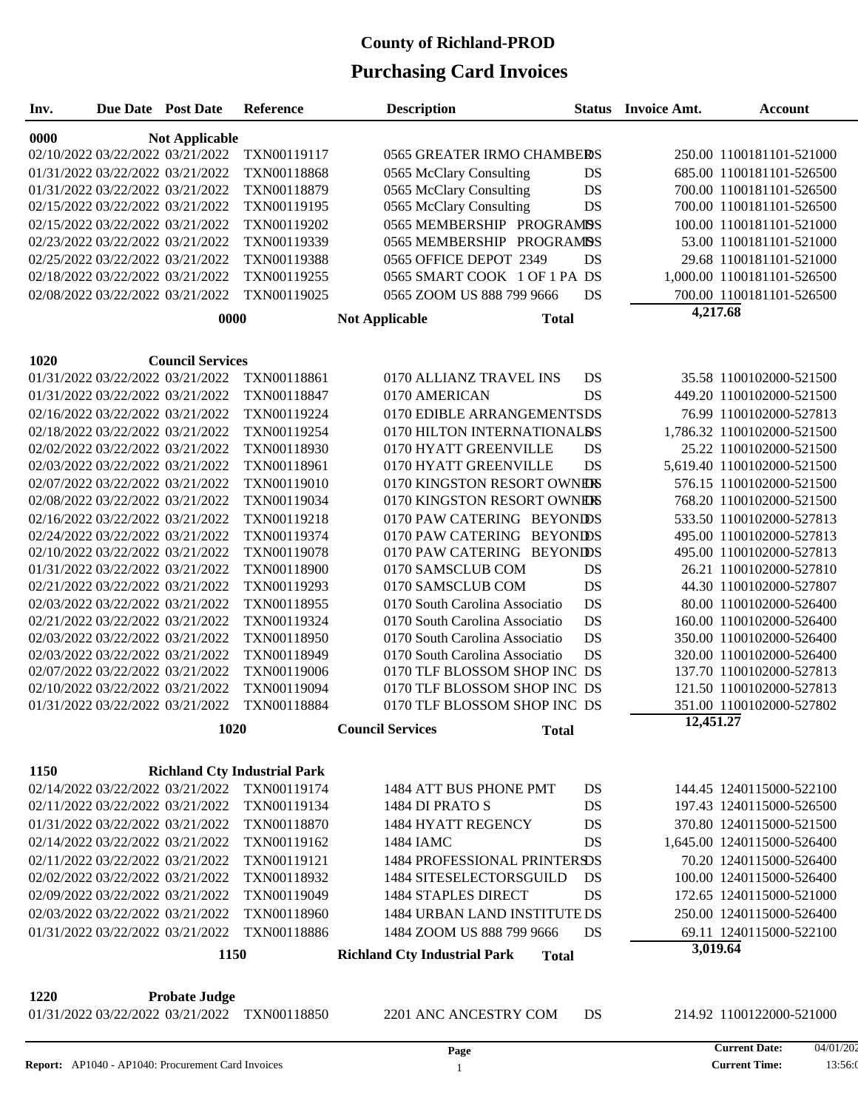| Inv.                             | <b>Due Date</b> Post Date | Reference                           | <b>Description</b>                                  |           | <b>Status</b> Invoice Amt. | <b>Account</b>             |
|----------------------------------|---------------------------|-------------------------------------|-----------------------------------------------------|-----------|----------------------------|----------------------------|
| 0000                             | <b>Not Applicable</b>     |                                     |                                                     |           |                            |                            |
| 02/10/2022 03/22/2022 03/21/2022 |                           | TXN00119117                         | 0565 GREATER IRMO CHAMBERS                          |           |                            | 250.00 1100181101-521000   |
| 01/31/2022 03/22/2022 03/21/2022 |                           | TXN00118868                         | 0565 McClary Consulting                             | DS        |                            | 685.00 1100181101-526500   |
| 01/31/2022 03/22/2022 03/21/2022 |                           | TXN00118879                         | 0565 McClary Consulting                             | DS        |                            | 700.00 1100181101-526500   |
| 02/15/2022 03/22/2022 03/21/2022 |                           | TXN00119195                         | 0565 McClary Consulting                             | DS        |                            | 700.00 1100181101-526500   |
| 02/15/2022 03/22/2022 03/21/2022 |                           | TXN00119202                         | 0565 MEMBERSHIP PROGRAMISS                          |           |                            | 100.00 1100181101-521000   |
| 02/23/2022 03/22/2022 03/21/2022 |                           | TXN00119339                         | 0565 MEMBERSHIP PROGRAMISS                          |           |                            | 53.00 1100181101-521000    |
| 02/25/2022 03/22/2022 03/21/2022 |                           | TXN00119388                         | 0565 OFFICE DEPOT 2349                              | DS        |                            | 29.68 1100181101-521000    |
| 02/18/2022 03/22/2022 03/21/2022 |                           | TXN00119255                         | 0565 SMART COOK 1 OF 1 PA DS                        |           |                            | 1,000.00 1100181101-526500 |
| 02/08/2022 03/22/2022 03/21/2022 |                           | TXN00119025                         | 0565 ZOOM US 888 799 9666                           | DS        |                            | 700.00 1100181101-526500   |
|                                  | 0000                      |                                     | <b>Total</b><br><b>Not Applicable</b>               |           | 4,217.68                   |                            |
|                                  |                           |                                     |                                                     |           |                            |                            |
| 1020                             | <b>Council Services</b>   |                                     |                                                     |           |                            |                            |
| 01/31/2022 03/22/2022 03/21/2022 |                           | TXN00118861                         | 0170 ALLIANZ TRAVEL INS                             | DS        |                            | 35.58 1100102000-521500    |
| 01/31/2022 03/22/2022 03/21/2022 |                           | TXN00118847                         | 0170 AMERICAN                                       | DS        |                            | 449.20 1100102000-521500   |
| 02/16/2022 03/22/2022 03/21/2022 |                           | TXN00119224                         | 0170 EDIBLE ARRANGEMENTSDS                          |           |                            | 76.99 1100102000-527813    |
| 02/18/2022 03/22/2022 03/21/2022 |                           | TXN00119254                         | 0170 HILTON INTERNATIONALDS                         |           |                            | 1,786.32 1100102000-521500 |
| 02/02/2022 03/22/2022 03/21/2022 |                           | TXN00118930                         | 0170 HYATT GREENVILLE                               | DS        |                            | 25.22 1100102000-521500    |
| 02/03/2022 03/22/2022 03/21/2022 |                           | TXN00118961                         | 0170 HYATT GREENVILLE                               | DS        |                            | 5,619.40 1100102000-521500 |
| 02/07/2022 03/22/2022 03/21/2022 |                           | TXN00119010                         | 0170 KINGSTON RESORT OWNERS                         |           |                            | 576.15 1100102000-521500   |
| 02/08/2022 03/22/2022 03/21/2022 |                           | TXN00119034                         | 0170 KINGSTON RESORT OWNERS                         |           |                            | 768.20 1100102000-521500   |
| 02/16/2022 03/22/2022 03/21/2022 |                           | TXN00119218                         | 0170 PAW CATERING BEYONIDS                          |           |                            | 533.50 1100102000-527813   |
| 02/24/2022 03/22/2022 03/21/2022 |                           | TXN00119374                         | 0170 PAW CATERING BEYONIDS                          |           |                            | 495.00 1100102000-527813   |
| 02/10/2022 03/22/2022 03/21/2022 |                           | TXN00119078                         | 0170 PAW CATERING BEYONIDS                          |           |                            | 495.00 1100102000-527813   |
| 01/31/2022 03/22/2022 03/21/2022 |                           | TXN00118900                         | 0170 SAMSCLUB COM                                   | DS        |                            | 26.21 1100102000-527810    |
| 02/21/2022 03/22/2022 03/21/2022 |                           | TXN00119293                         | 0170 SAMSCLUB COM                                   | DS        |                            | 44.30 1100102000-527807    |
| 02/03/2022 03/22/2022 03/21/2022 |                           | TXN00118955                         | 0170 South Carolina Associatio                      | <b>DS</b> |                            | 80.00 1100102000-526400    |
| 02/21/2022 03/22/2022 03/21/2022 |                           | TXN00119324                         | 0170 South Carolina Associatio                      | DS        |                            | 160.00 1100102000-526400   |
| 02/03/2022 03/22/2022 03/21/2022 |                           | TXN00118950                         | 0170 South Carolina Associatio                      | DS        |                            | 350.00 1100102000-526400   |
| 02/03/2022 03/22/2022 03/21/2022 |                           | TXN00118949                         | 0170 South Carolina Associatio                      | DS        |                            | 320.00 1100102000-526400   |
| 02/07/2022 03/22/2022 03/21/2022 |                           | TXN00119006                         | 0170 TLF BLOSSOM SHOP INC DS                        |           |                            | 137.70 1100102000-527813   |
| 02/10/2022 03/22/2022 03/21/2022 |                           | TXN00119094                         | 0170 TLF BLOSSOM SHOP INC DS                        |           |                            | 121.50 1100102000-527813   |
| 01/31/2022 03/22/2022 03/21/2022 |                           | TXN00118884                         | 0170 TLF BLOSSOM SHOP INC DS                        |           |                            | 351.00 1100102000-527802   |
|                                  | 1020                      |                                     | <b>Council Services</b><br><b>Total</b>             |           | 12,451.27                  |                            |
|                                  |                           |                                     |                                                     |           |                            |                            |
| <b>1150</b>                      |                           | <b>Richland Cty Industrial Park</b> |                                                     |           |                            |                            |
| 02/14/2022 03/22/2022 03/21/2022 |                           | TXN00119174                         | 1484 ATT BUS PHONE PMT                              | DS        |                            | 144.45 1240115000-522100   |
| 02/11/2022 03/22/2022 03/21/2022 |                           | TXN00119134                         | 1484 DI PRATO S                                     | DS        |                            | 197.43 1240115000-526500   |
| 01/31/2022 03/22/2022 03/21/2022 |                           | TXN00118870                         | 1484 HYATT REGENCY                                  | DS        |                            | 370.80 1240115000-521500   |
| 02/14/2022 03/22/2022 03/21/2022 |                           | TXN00119162                         | 1484 IAMC                                           | DS        |                            | 1,645.00 1240115000-526400 |
| 02/11/2022 03/22/2022 03/21/2022 |                           | TXN00119121                         | <b>1484 PROFESSIONAL PRINTERSDS</b>                 |           |                            | 70.20 1240115000-526400    |
| 02/02/2022 03/22/2022 03/21/2022 |                           | TXN00118932                         | 1484 SITESELECTORSGUILD                             | DS        |                            | 100.00 1240115000-526400   |
| 02/09/2022 03/22/2022 03/21/2022 |                           | TXN00119049                         | <b>1484 STAPLES DIRECT</b>                          | DS        |                            | 172.65 1240115000-521000   |
| 02/03/2022 03/22/2022 03/21/2022 |                           | TXN00118960                         | 1484 URBAN LAND INSTITUTE DS                        |           |                            | 250.00 1240115000-526400   |
| 01/31/2022 03/22/2022 03/21/2022 |                           | TXN00118886                         | 1484 ZOOM US 888 799 9666                           | DS        |                            | 69.11 1240115000-522100    |
|                                  | 1150                      |                                     | <b>Richland Cty Industrial Park</b><br><b>Total</b> |           | 3,019.64                   |                            |
|                                  |                           |                                     |                                                     |           |                            |                            |
| 1220                             | <b>Probate Judge</b>      |                                     |                                                     |           |                            |                            |
| 01/31/2022 03/22/2022 03/21/2022 |                           | TXN00118850                         | 2201 ANC ANCESTRY COM                               | <b>DS</b> |                            | 214.92 1100122000-521000   |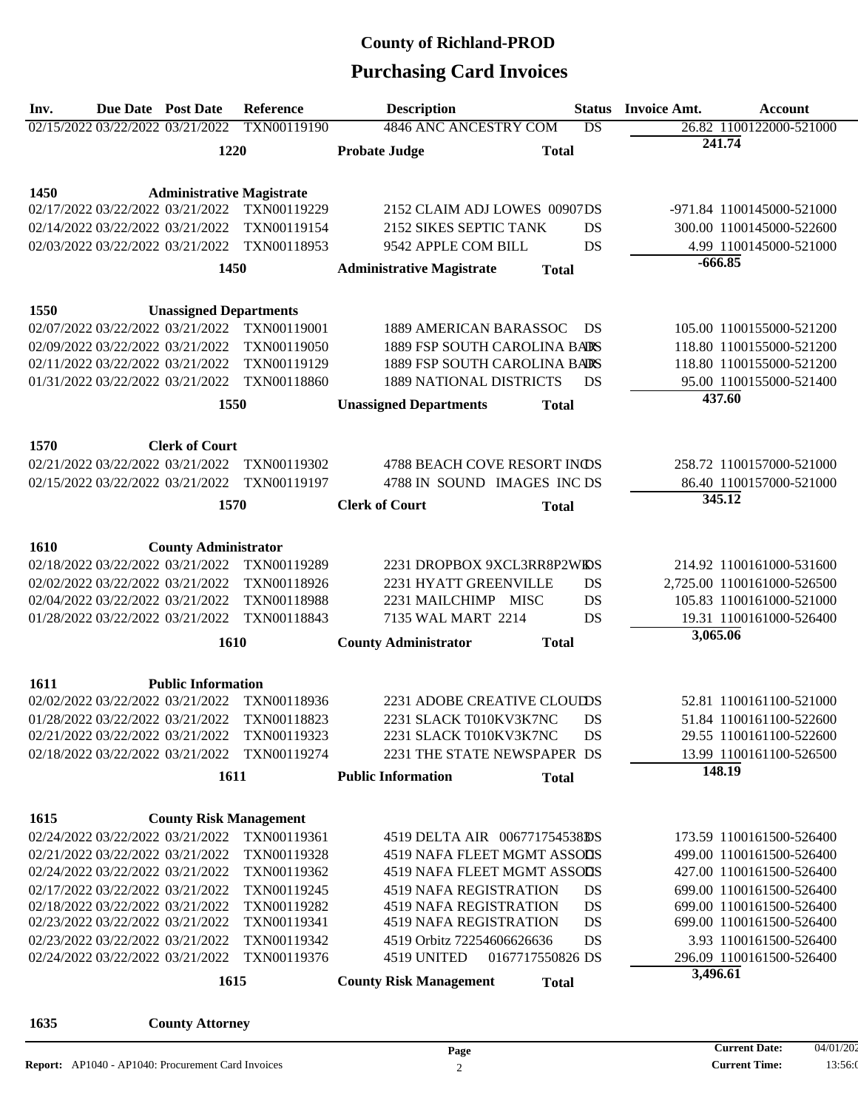# **Purchasing Card Invoices**

| Inv. | <b>Due Date Post Date</b>        |                                  | Reference   | <b>Description</b>                               | <b>Status</b>   | <b>Invoice Amt.</b> | <b>Account</b>             |
|------|----------------------------------|----------------------------------|-------------|--------------------------------------------------|-----------------|---------------------|----------------------------|
|      | 02/15/2022 03/22/2022 03/21/2022 |                                  | TXN00119190 | 4846 ANC ANCESTRY COM                            | $\overline{DS}$ |                     | 26.82 1100122000-521000    |
|      |                                  | 1220                             |             | <b>Probate Judge</b><br><b>Total</b>             |                 | 241.74              |                            |
|      |                                  |                                  |             |                                                  |                 |                     |                            |
| 1450 |                                  | <b>Administrative Magistrate</b> |             |                                                  |                 |                     |                            |
|      | 02/17/2022 03/22/2022 03/21/2022 |                                  | TXN00119229 | 2152 CLAIM ADJ LOWES 00907DS                     |                 |                     | -971.84 1100145000-521000  |
|      | 02/14/2022 03/22/2022 03/21/2022 |                                  | TXN00119154 | 2152 SIKES SEPTIC TANK                           | DS              |                     | 300.00 1100145000-522600   |
|      | 02/03/2022 03/22/2022 03/21/2022 |                                  | TXN00118953 | 9542 APPLE COM BILL                              | DS              |                     | 4.99 1100145000-521000     |
|      |                                  | 1450                             |             | <b>Administrative Magistrate</b><br><b>Total</b> |                 | $-666.85$           |                            |
|      |                                  |                                  |             |                                                  |                 |                     |                            |
| 1550 |                                  | <b>Unassigned Departments</b>    |             |                                                  |                 |                     |                            |
|      | 02/07/2022 03/22/2022 03/21/2022 |                                  | TXN00119001 | 1889 AMERICAN BARASSOC                           | DS              |                     | 105.00 1100155000-521200   |
|      | 02/09/2022 03/22/2022 03/21/2022 |                                  | TXN00119050 | 1889 FSP SOUTH CAROLINA BARS                     |                 |                     | 118.80 1100155000-521200   |
|      | 02/11/2022 03/22/2022 03/21/2022 |                                  | TXN00119129 | 1889 FSP SOUTH CAROLINA BARS                     |                 |                     | 118.80 1100155000-521200   |
|      | 01/31/2022 03/22/2022 03/21/2022 |                                  | TXN00118860 | <b>1889 NATIONAL DISTRICTS</b>                   | DS              |                     | 95.00 1100155000-521400    |
|      |                                  | 1550                             |             | <b>Unassigned Departments</b><br><b>Total</b>    |                 | 437.60              |                            |
|      |                                  |                                  |             |                                                  |                 |                     |                            |
| 1570 |                                  | <b>Clerk of Court</b>            |             |                                                  |                 |                     |                            |
|      | 02/21/2022 03/22/2022 03/21/2022 |                                  | TXN00119302 | 4788 BEACH COVE RESORT INDS                      |                 |                     | 258.72 1100157000-521000   |
|      | 02/15/2022 03/22/2022 03/21/2022 |                                  | TXN00119197 | 4788 IN SOUND IMAGES INC DS                      |                 |                     | 86.40 1100157000-521000    |
|      |                                  | 1570                             |             | <b>Clerk of Court</b><br><b>Total</b>            |                 | 345.12              |                            |
|      |                                  |                                  |             |                                                  |                 |                     |                            |
| 1610 |                                  | <b>County Administrator</b>      |             |                                                  |                 |                     |                            |
|      | 02/18/2022 03/22/2022 03/21/2022 |                                  | TXN00119289 | 2231 DROPBOX 9XCL3RR8P2WIDS                      |                 |                     | 214.92 1100161000-531600   |
|      | 02/02/2022 03/22/2022 03/21/2022 |                                  | TXN00118926 | 2231 HYATT GREENVILLE                            | DS              |                     | 2,725.00 1100161000-526500 |
|      | 02/04/2022 03/22/2022 03/21/2022 |                                  | TXN00118988 | 2231 MAILCHIMP MISC                              | DS              |                     | 105.83 1100161000-521000   |
|      | 01/28/2022 03/22/2022 03/21/2022 |                                  | TXN00118843 | 7135 WAL MART 2214                               | <b>DS</b>       |                     | 19.31 1100161000-526400    |
|      |                                  | 1610                             |             | <b>County Administrator</b><br><b>Total</b>      |                 | 3,065.06            |                            |
|      |                                  |                                  |             |                                                  |                 |                     |                            |
| 1611 |                                  | <b>Public Information</b>        |             |                                                  |                 |                     |                            |
|      | 02/02/2022 03/22/2022 03/21/2022 |                                  | TXN00118936 | 2231 ADOBE CREATIVE CLOUIDS                      |                 |                     | 52.81 1100161100-521000    |
|      | 01/28/2022 03/22/2022 03/21/2022 |                                  | TXN00118823 | 2231 SLACK T010KV3K7NC                           | DS              |                     | 51.84 1100161100-522600    |
|      | 02/21/2022 03/22/2022 03/21/2022 |                                  | TXN00119323 | 2231 SLACK T010KV3K7NC                           | DS              |                     | 29.55 1100161100-522600    |
|      | 02/18/2022 03/22/2022 03/21/2022 |                                  | TXN00119274 | 2231 THE STATE NEWSPAPER DS                      |                 |                     | 13.99 1100161100-526500    |
|      |                                  | 1611                             |             | <b>Public Information</b><br><b>Total</b>        |                 | 148.19              |                            |
|      |                                  |                                  |             |                                                  |                 |                     |                            |
| 1615 |                                  | <b>County Risk Management</b>    |             |                                                  |                 |                     |                            |
|      | 02/24/2022 03/22/2022 03/21/2022 |                                  | TXN00119361 | 4519 DELTA AIR 006771754538DS                    |                 |                     | 173.59 1100161500-526400   |
|      | 02/21/2022 03/22/2022 03/21/2022 |                                  | TXN00119328 | 4519 NAFA FLEET MGMT ASSODS                      |                 |                     | 499.00 1100161500-526400   |
|      | 02/24/2022 03/22/2022 03/21/2022 |                                  | TXN00119362 | 4519 NAFA FLEET MGMT ASSODS                      |                 |                     | 427.00 1100161500-526400   |
|      | 02/17/2022 03/22/2022 03/21/2022 |                                  | TXN00119245 | <b>4519 NAFA REGISTRATION</b>                    | DS              |                     | 699.00 1100161500-526400   |
|      | 02/18/2022 03/22/2022 03/21/2022 |                                  | TXN00119282 | <b>4519 NAFA REGISTRATION</b>                    | DS              |                     | 699.00 1100161500-526400   |
|      | 02/23/2022 03/22/2022 03/21/2022 |                                  | TXN00119341 | <b>4519 NAFA REGISTRATION</b>                    | DS              |                     | 699.00 1100161500-526400   |
|      | 02/23/2022 03/22/2022 03/21/2022 |                                  | TXN00119342 | 4519 Orbitz 72254606626636                       | DS              |                     | 3.93 1100161500-526400     |
|      | 02/24/2022 03/22/2022 03/21/2022 |                                  | TXN00119376 | 4519 UNITED<br>0167717550826 DS                  |                 | 3,496.61            | 296.09 1100161500-526400   |
|      |                                  | 1615                             |             | <b>County Risk Management</b><br><b>Total</b>    |                 |                     |                            |
|      |                                  |                                  |             |                                                  |                 |                     |                            |

**1635 County Attorney**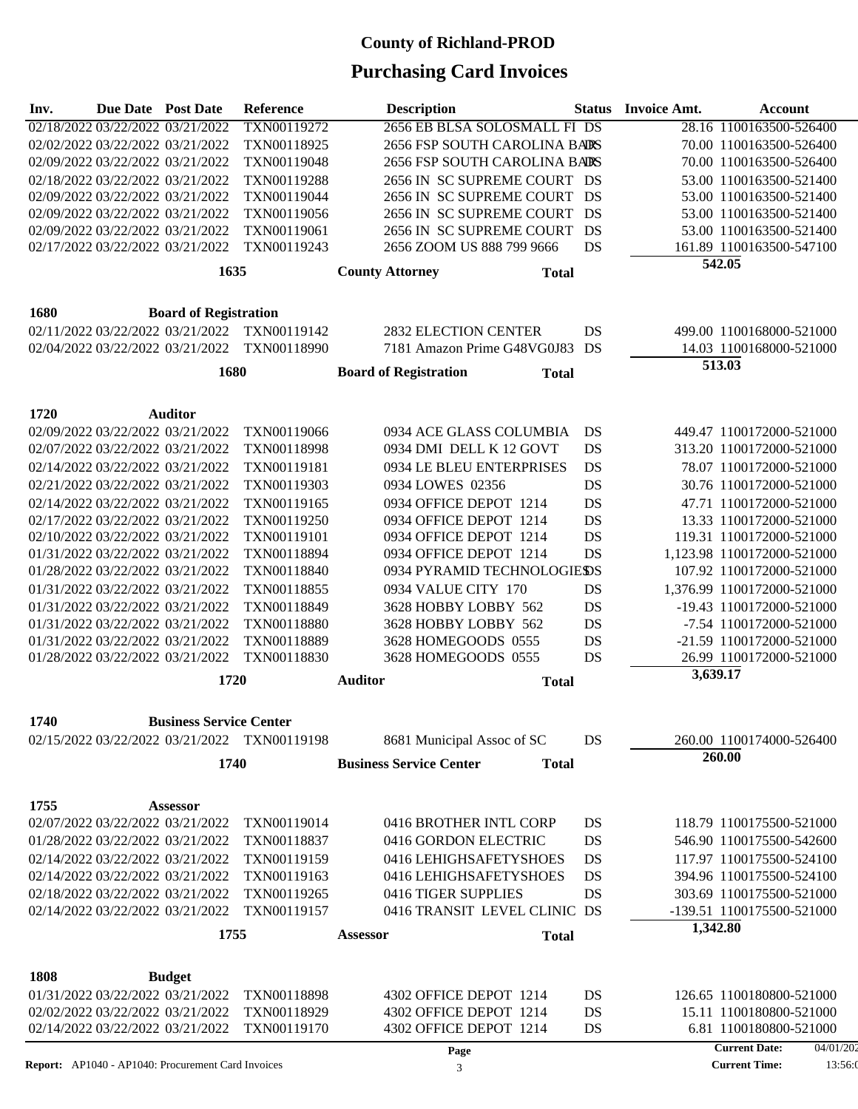| Inv.                                         | Due Date Post Date             | Reference   |                        | <b>Description</b>                             |           | <b>Status</b> Invoice Amt. | <b>Account</b>                   |  |
|----------------------------------------------|--------------------------------|-------------|------------------------|------------------------------------------------|-----------|----------------------------|----------------------------------|--|
| 02/18/2022 03/22/2022 03/21/2022             |                                | TXN00119272 |                        | 2656 EB BLSA SOLOSMALL FI DS                   |           |                            | 28.16 1100163500-526400          |  |
| 02/02/2022 03/22/2022 03/21/2022             |                                | TXN00118925 |                        | 2656 FSP SOUTH CAROLINA BARS                   |           |                            | 70.00 1100163500-526400          |  |
| 02/09/2022 03/22/2022 03/21/2022             |                                | TXN00119048 |                        | 2656 FSP SOUTH CAROLINA BARS                   |           |                            | 70.00 1100163500-526400          |  |
| 02/18/2022 03/22/2022 03/21/2022             |                                | TXN00119288 |                        | 2656 IN SC SUPREME COURT DS                    |           |                            | 53.00 1100163500-521400          |  |
| 02/09/2022 03/22/2022 03/21/2022             |                                | TXN00119044 |                        | 2656 IN SC SUPREME COURT DS                    |           |                            | 53.00 1100163500-521400          |  |
| 02/09/2022 03/22/2022 03/21/2022             |                                | TXN00119056 |                        | 2656 IN SC SUPREME COURT DS                    |           |                            | 53.00 1100163500-521400          |  |
| 02/09/2022 03/22/2022 03/21/2022             |                                | TXN00119061 |                        | 2656 IN SC SUPREME COURT                       | DS        |                            | 53.00 1100163500-521400          |  |
| 02/17/2022 03/22/2022 03/21/2022             |                                | TXN00119243 |                        | 2656 ZOOM US 888 799 9666                      | DS        |                            | 161.89 1100163500-547100         |  |
|                                              | 1635                           |             | <b>County Attorney</b> | <b>Total</b>                                   |           |                            | 542.05                           |  |
|                                              |                                |             |                        |                                                |           |                            |                                  |  |
| <b>1680</b>                                  | <b>Board of Registration</b>   |             |                        |                                                |           |                            |                                  |  |
| 02/11/2022 03/22/2022 03/21/2022             |                                | TXN00119142 |                        | <b>2832 ELECTION CENTER</b>                    | DS        |                            | 499.00 1100168000-521000         |  |
| 02/04/2022 03/22/2022 03/21/2022             |                                | TXN00118990 |                        | 7181 Amazon Prime G48VG0J83 DS                 |           |                            | 14.03 1100168000-521000          |  |
|                                              | 1680                           |             |                        | <b>Board of Registration</b><br><b>Total</b>   |           |                            | 513.03                           |  |
|                                              |                                |             |                        |                                                |           |                            |                                  |  |
| 1720                                         | <b>Auditor</b>                 |             |                        |                                                |           |                            |                                  |  |
| 02/09/2022 03/22/2022 03/21/2022             |                                | TXN00119066 |                        | 0934 ACE GLASS COLUMBIA                        | DS        |                            | 449.47 1100172000-521000         |  |
| 02/07/2022 03/22/2022 03/21/2022             |                                | TXN00118998 |                        | 0934 DMI DELL K 12 GOVT                        | DS        |                            | 313.20 1100172000-521000         |  |
| 02/14/2022 03/22/2022 03/21/2022             |                                | TXN00119181 |                        | 0934 LE BLEU ENTERPRISES                       | DS        |                            | 78.07 1100172000-521000          |  |
| 02/21/2022 03/22/2022 03/21/2022             |                                | TXN00119303 |                        | 0934 LOWES 02356                               | <b>DS</b> |                            | 30.76 1100172000-521000          |  |
| 02/14/2022 03/22/2022 03/21/2022             |                                | TXN00119165 |                        | 0934 OFFICE DEPOT 1214                         | DS        |                            | 47.71 1100172000-521000          |  |
| 02/17/2022 03/22/2022 03/21/2022             |                                | TXN00119250 |                        | 0934 OFFICE DEPOT 1214                         | DS        |                            | 13.33 1100172000-521000          |  |
| 02/10/2022 03/22/2022 03/21/2022             |                                | TXN00119101 |                        | 0934 OFFICE DEPOT 1214                         | DS        |                            | 119.31 1100172000-521000         |  |
| 01/31/2022 03/22/2022 03/21/2022             |                                | TXN00118894 |                        | 0934 OFFICE DEPOT 1214                         | <b>DS</b> |                            | 1,123.98 1100172000-521000       |  |
| 01/28/2022 03/22/2022 03/21/2022             |                                | TXN00118840 |                        | 0934 PYRAMID TECHNOLOGIESDS                    |           |                            | 107.92 1100172000-521000         |  |
| 01/31/2022 03/22/2022 03/21/2022             |                                | TXN00118855 |                        | 0934 VALUE CITY 170                            | DS        |                            | 1,376.99 1100172000-521000       |  |
| 01/31/2022 03/22/2022 03/21/2022             |                                | TXN00118849 |                        | 3628 HOBBY LOBBY 562                           | DS        |                            | -19.43 1100172000-521000         |  |
| 01/31/2022 03/22/2022 03/21/2022             |                                | TXN00118880 |                        | 3628 HOBBY LOBBY 562                           | DS        |                            | -7.54 1100172000-521000          |  |
| 01/31/2022 03/22/2022 03/21/2022             |                                | TXN00118889 |                        | 3628 HOMEGOODS 0555                            | DS        |                            | -21.59 1100172000-521000         |  |
| 01/28/2022 03/22/2022 03/21/2022             |                                | TXN00118830 |                        | 3628 HOMEGOODS 0555                            | DS        |                            | 26.99 1100172000-521000          |  |
|                                              | 1720                           |             | <b>Auditor</b>         | <b>Total</b>                                   |           |                            | 3,639.17                         |  |
|                                              |                                |             |                        |                                                |           |                            |                                  |  |
| 1740                                         | <b>Business Service Center</b> |             |                        |                                                |           |                            |                                  |  |
| 02/15/2022 03/22/2022 03/21/2022 TXN00119198 |                                |             |                        | 8681 Municipal Assoc of SC                     | DS        |                            | 260.00 1100174000-526400         |  |
|                                              | 1740                           |             |                        | <b>Business Service Center</b><br><b>Total</b> |           |                            | 260.00                           |  |
|                                              |                                |             |                        |                                                |           |                            |                                  |  |
| 1755                                         | <b>Assessor</b>                |             |                        |                                                |           |                            |                                  |  |
| 02/07/2022 03/22/2022 03/21/2022             |                                | TXN00119014 |                        | 0416 BROTHER INTL CORP                         | DS        |                            | 118.79 1100175500-521000         |  |
| 01/28/2022 03/22/2022 03/21/2022             |                                | TXN00118837 |                        | 0416 GORDON ELECTRIC                           | DS        |                            | 546.90 1100175500-542600         |  |
| 02/14/2022 03/22/2022 03/21/2022             |                                | TXN00119159 |                        | 0416 LEHIGHSAFETYSHOES                         | DS        |                            | 117.97 1100175500-524100         |  |
| 02/14/2022 03/22/2022 03/21/2022             |                                | TXN00119163 |                        | 0416 LEHIGHSAFETYSHOES                         | DS        |                            | 394.96 1100175500-524100         |  |
| 02/18/2022 03/22/2022 03/21/2022             |                                | TXN00119265 |                        | 0416 TIGER SUPPLIES                            | DS        |                            | 303.69 1100175500-521000         |  |
| 02/14/2022 03/22/2022 03/21/2022             |                                | TXN00119157 |                        | 0416 TRANSIT LEVEL CLINIC DS                   |           |                            | -139.51 1100175500-521000        |  |
|                                              | 1755                           |             | <b>Assessor</b>        | <b>Total</b>                                   |           |                            | 1,342.80                         |  |
|                                              |                                |             |                        |                                                |           |                            |                                  |  |
| 1808                                         | <b>Budget</b>                  |             |                        |                                                |           |                            |                                  |  |
| 01/31/2022 03/22/2022 03/21/2022             |                                | TXN00118898 |                        | 4302 OFFICE DEPOT 1214                         | DS        |                            | 126.65 1100180800-521000         |  |
| 02/02/2022 03/22/2022 03/21/2022             |                                | TXN00118929 |                        | 4302 OFFICE DEPOT 1214                         | DS        |                            | 15.11 1100180800-521000          |  |
| 02/14/2022 03/22/2022 03/21/2022             |                                | TXN00119170 |                        | 4302 OFFICE DEPOT 1214                         | DS        |                            | 6.81 1100180800-521000           |  |
|                                              |                                |             |                        | Page                                           |           |                            | <b>Current Date:</b><br>04/01/20 |  |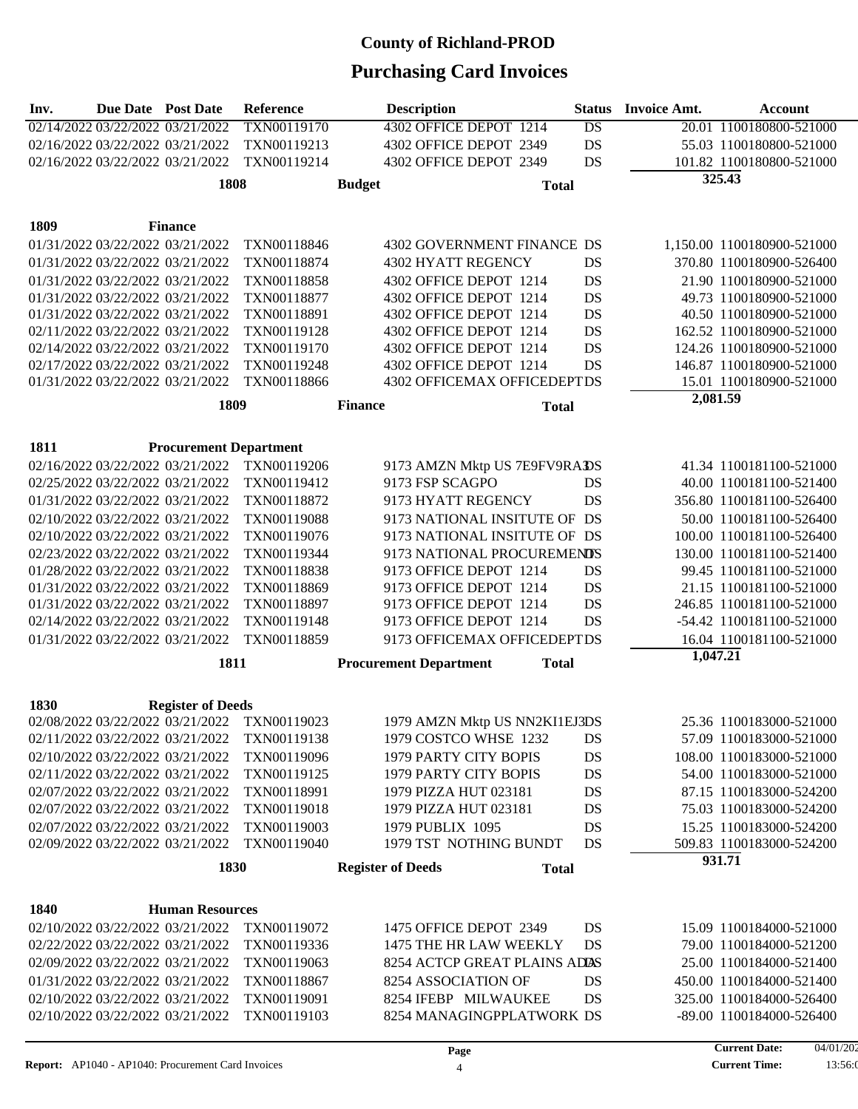| Inv.        | Due Date Post Date |                                                                      | Reference                                    |                | <b>Description</b>                               |              | <b>Status</b>   | <b>Invoice Amt.</b> | Account                                            |
|-------------|--------------------|----------------------------------------------------------------------|----------------------------------------------|----------------|--------------------------------------------------|--------------|-----------------|---------------------|----------------------------------------------------|
|             |                    | 02/14/2022 03/22/2022 03/21/2022                                     | TXN00119170                                  |                | 4302 OFFICE DEPOT 1214                           |              | $\overline{DS}$ |                     | 20.01 1100180800-521000                            |
|             |                    | 02/16/2022 03/22/2022 03/21/2022                                     | TXN00119213                                  |                | 4302 OFFICE DEPOT 2349                           |              | DS              |                     | 55.03 1100180800-521000                            |
|             |                    | 02/16/2022 03/22/2022 03/21/2022                                     | TXN00119214                                  |                | 4302 OFFICE DEPOT 2349                           |              | DS              |                     | 101.82 1100180800-521000                           |
|             |                    | 1808                                                                 |                                              | <b>Budget</b>  |                                                  | <b>Total</b> |                 |                     | 325.43                                             |
|             |                    |                                                                      |                                              |                |                                                  |              |                 |                     |                                                    |
| 1809        |                    | <b>Finance</b>                                                       |                                              |                |                                                  |              |                 |                     |                                                    |
|             |                    | 01/31/2022 03/22/2022 03/21/2022                                     | TXN00118846                                  |                | 4302 GOVERNMENT FINANCE DS                       |              |                 |                     | 1,150.00 1100180900-521000                         |
|             |                    | 01/31/2022 03/22/2022 03/21/2022                                     | TXN00118874                                  |                | 4302 HYATT REGENCY                               |              | DS              |                     | 370.80 1100180900-526400                           |
|             |                    | 01/31/2022 03/22/2022 03/21/2022                                     | TXN00118858                                  |                | 4302 OFFICE DEPOT 1214                           |              | DS              |                     | 21.90 1100180900-521000                            |
|             |                    | 01/31/2022 03/22/2022 03/21/2022                                     | TXN00118877                                  |                | 4302 OFFICE DEPOT 1214                           |              | DS              |                     | 49.73 1100180900-521000                            |
|             |                    | 01/31/2022 03/22/2022 03/21/2022                                     | TXN00118891                                  |                | 4302 OFFICE DEPOT 1214                           |              | DS              |                     | 40.50 1100180900-521000                            |
|             |                    | 02/11/2022 03/22/2022 03/21/2022                                     | TXN00119128                                  |                | 4302 OFFICE DEPOT 1214                           |              | DS              |                     | 162.52 1100180900-521000                           |
|             |                    | 02/14/2022 03/22/2022 03/21/2022                                     | TXN00119170                                  |                | 4302 OFFICE DEPOT 1214                           |              | DS              |                     | 124.26 1100180900-521000                           |
|             |                    | 02/17/2022 03/22/2022 03/21/2022                                     | TXN00119248                                  |                | 4302 OFFICE DEPOT 1214                           |              | DS              |                     | 146.87 1100180900-521000                           |
|             |                    | 01/31/2022 03/22/2022 03/21/2022                                     | TXN00118866                                  |                | 4302 OFFICEMAX OFFICEDEPTDS                      |              |                 |                     | 15.01 1100180900-521000                            |
|             |                    | 1809                                                                 |                                              | <b>Finance</b> |                                                  | <b>Total</b> |                 | 2,081.59            |                                                    |
|             |                    |                                                                      |                                              |                |                                                  |              |                 |                     |                                                    |
| 1811        |                    | <b>Procurement Department</b>                                        |                                              |                |                                                  |              |                 |                     |                                                    |
|             |                    | 02/16/2022 03/22/2022 03/21/2022                                     | TXN00119206                                  |                | 9173 AMZN Mktp US 7E9FV9RADS                     |              |                 |                     | 41.34 1100181100-521000                            |
|             |                    | 02/25/2022 03/22/2022 03/21/2022                                     | TXN00119412                                  |                | 9173 FSP SCAGPO                                  |              | DS              |                     | 40.00 1100181100-521400                            |
|             |                    | 01/31/2022 03/22/2022 03/21/2022                                     | TXN00118872                                  |                | 9173 HYATT REGENCY                               |              | DS              |                     | 356.80 1100181100-526400                           |
|             |                    | 02/10/2022 03/22/2022 03/21/2022                                     | TXN00119088                                  |                | 9173 NATIONAL INSITUTE OF DS                     |              |                 |                     | 50.00 1100181100-526400                            |
|             |                    | 02/10/2022 03/22/2022 03/21/2022                                     | TXN00119076                                  |                | 9173 NATIONAL INSITUTE OF DS                     |              |                 |                     | 100.00 1100181100-526400                           |
|             |                    | 02/23/2022 03/22/2022 03/21/2022                                     | TXN00119344                                  |                | 9173 NATIONAL PROCUREMENDS                       |              |                 |                     | 130.00 1100181100-521400                           |
|             |                    | 01/28/2022 03/22/2022 03/21/2022<br>01/31/2022 03/22/2022 03/21/2022 | TXN00118838<br>TXN00118869                   |                | 9173 OFFICE DEPOT 1214<br>9173 OFFICE DEPOT 1214 |              | DS<br>DS        |                     | 99.45 1100181100-521000<br>21.15 1100181100-521000 |
|             |                    | 01/31/2022 03/22/2022 03/21/2022                                     | TXN00118897                                  |                | 9173 OFFICE DEPOT 1214                           |              | DS              |                     | 246.85 1100181100-521000                           |
|             |                    | 02/14/2022 03/22/2022 03/21/2022                                     | TXN00119148                                  |                | 9173 OFFICE DEPOT 1214                           |              | DS              |                     | -54.42 1100181100-521000                           |
|             |                    | 01/31/2022 03/22/2022 03/21/2022                                     | TXN00118859                                  |                | 9173 OFFICEMAX OFFICEDEPTDS                      |              |                 |                     | 16.04 1100181100-521000                            |
|             |                    |                                                                      |                                              |                |                                                  |              |                 | 1,047.21            |                                                    |
|             |                    | 1811                                                                 |                                              |                | <b>Procurement Department</b>                    | <b>Total</b> |                 |                     |                                                    |
| 1830        |                    | <b>Register of Deeds</b>                                             |                                              |                |                                                  |              |                 |                     |                                                    |
|             |                    |                                                                      | 02/08/2022 03/22/2022 03/21/2022 TXN00119023 |                | 1979 AMZN Mktp US NN2KI1EJ3DS                    |              |                 |                     | 25.36 1100183000-521000                            |
|             |                    | 02/11/2022 03/22/2022 03/21/2022                                     | TXN00119138                                  |                | 1979 COSTCO WHSE 1232                            |              | DS              |                     | 57.09 1100183000-521000                            |
|             |                    | 02/10/2022 03/22/2022 03/21/2022                                     | TXN00119096                                  |                | 1979 PARTY CITY BOPIS                            |              | DS              |                     | 108.00 1100183000-521000                           |
|             |                    | 02/11/2022 03/22/2022 03/21/2022                                     | TXN00119125                                  |                | 1979 PARTY CITY BOPIS                            |              | DS              |                     | 54.00 1100183000-521000                            |
|             |                    | 02/07/2022 03/22/2022 03/21/2022                                     | TXN00118991                                  |                | 1979 PIZZA HUT 023181                            |              | DS              |                     | 87.15 1100183000-524200                            |
|             |                    | 02/07/2022 03/22/2022 03/21/2022                                     | TXN00119018                                  |                | 1979 PIZZA HUT 023181                            |              | DS              |                     | 75.03 1100183000-524200                            |
|             |                    | 02/07/2022 03/22/2022 03/21/2022                                     | TXN00119003                                  |                | 1979 PUBLIX 1095                                 |              | DS              |                     | 15.25 1100183000-524200                            |
|             |                    | 02/09/2022 03/22/2022 03/21/2022                                     | TXN00119040                                  |                | 1979 TST NOTHING BUNDT                           |              | DS              |                     | 509.83 1100183000-524200                           |
|             |                    | 1830                                                                 |                                              |                | <b>Register of Deeds</b>                         | <b>Total</b> |                 |                     | 931.71                                             |
|             |                    |                                                                      |                                              |                |                                                  |              |                 |                     |                                                    |
| <b>1840</b> |                    | <b>Human Resources</b>                                               |                                              |                |                                                  |              |                 |                     |                                                    |
|             |                    | 02/10/2022 03/22/2022 03/21/2022                                     | TXN00119072                                  |                | 1475 OFFICE DEPOT 2349                           |              | DS              |                     | 15.09 1100184000-521000                            |
|             |                    | 02/22/2022 03/22/2022 03/21/2022                                     | TXN00119336                                  |                | 1475 THE HR LAW WEEKLY                           |              | DS              |                     | 79.00 1100184000-521200                            |
|             |                    | 02/09/2022 03/22/2022 03/21/2022                                     | TXN00119063                                  |                | 8254 ACTCP GREAT PLAINS ADDS                     |              |                 |                     | 25.00 1100184000-521400                            |
|             |                    | 01/31/2022 03/22/2022 03/21/2022                                     | TXN00118867                                  |                | 8254 ASSOCIATION OF                              |              | DS              |                     | 450.00 1100184000-521400                           |
|             |                    | 02/10/2022 03/22/2022 03/21/2022                                     | TXN00119091                                  |                | 8254 IFEBP MILWAUKEE                             |              | DS              |                     | 325.00 1100184000-526400                           |
|             |                    | 02/10/2022 03/22/2022 03/21/2022                                     | TXN00119103                                  |                | 8254 MANAGINGPPLATWORK DS                        |              |                 |                     | -89.00 1100184000-526400                           |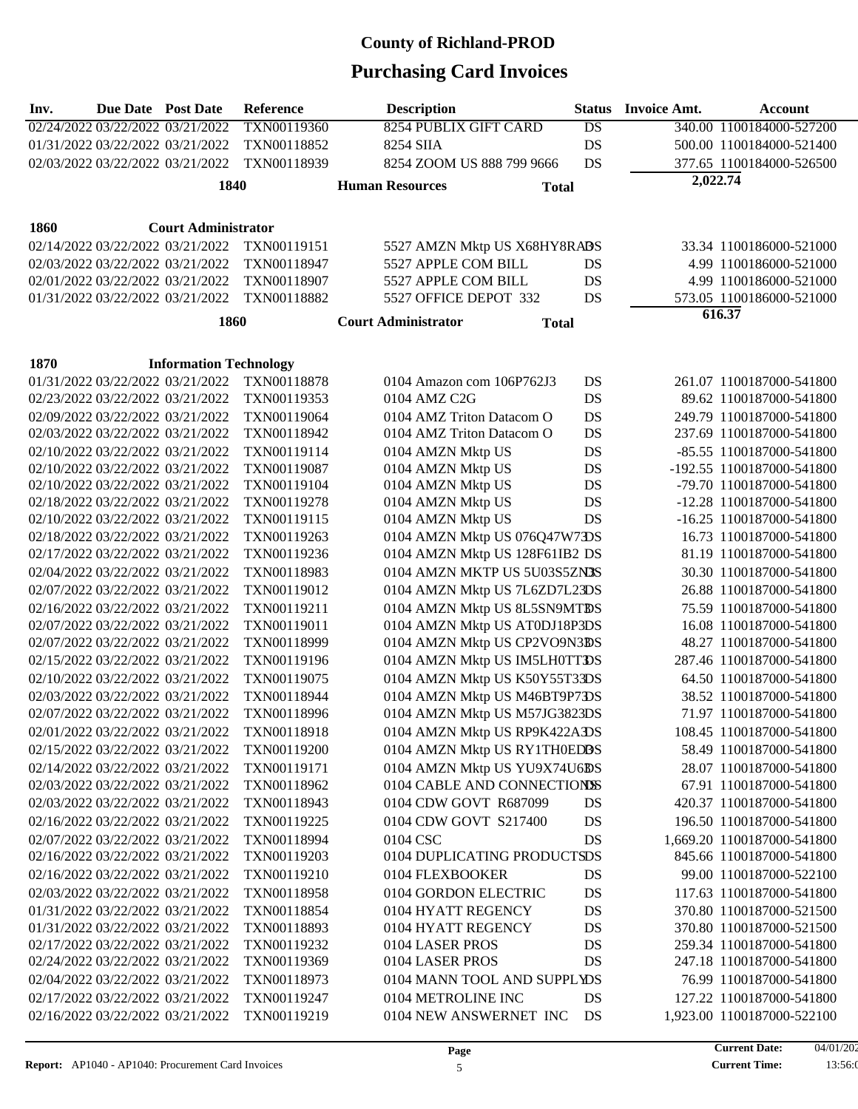| Inv. | <b>Due Date Post Date</b>        |                                  | Reference   | <b>Description</b>             |              | <b>Status</b> | <b>Invoice Amt.</b> | <b>Account</b>             |
|------|----------------------------------|----------------------------------|-------------|--------------------------------|--------------|---------------|---------------------|----------------------------|
|      | 02/24/2022 03/22/2022 03/21/2022 |                                  | TXN00119360 | 8254 PUBLIX GIFT CARD          |              | DS            |                     | 340.00 1100184000-527200   |
|      | 01/31/2022 03/22/2022 03/21/2022 |                                  | TXN00118852 | 8254 SIIA                      |              | DS            |                     | 500.00 1100184000-521400   |
|      | 02/03/2022 03/22/2022 03/21/2022 |                                  | TXN00118939 | 8254 ZOOM US 888 799 9666      |              | DS            |                     | 377.65 1100184000-526500   |
|      |                                  | 1840                             |             | <b>Human Resources</b>         | <b>Total</b> |               | 2,022.74            |                            |
|      |                                  |                                  |             |                                |              |               |                     |                            |
| 1860 |                                  | <b>Court Administrator</b>       |             |                                |              |               |                     |                            |
|      | 02/14/2022 03/22/2022 03/21/2022 |                                  | TXN00119151 | 5527 AMZN Mktp US X68HY8RABS   |              |               |                     | 33.34 1100186000-521000    |
|      | 02/03/2022 03/22/2022 03/21/2022 |                                  | TXN00118947 | 5527 APPLE COM BILL            |              | DS            |                     | 4.99 1100186000-521000     |
|      | 02/01/2022 03/22/2022 03/21/2022 |                                  | TXN00118907 | 5527 APPLE COM BILL            |              | DS            |                     | 4.99 1100186000-521000     |
|      |                                  | 01/31/2022 03/22/2022 03/21/2022 | TXN00118882 | 5527 OFFICE DEPOT 332          |              | DS            |                     | 573.05 1100186000-521000   |
|      |                                  |                                  |             |                                |              |               |                     | 616.37                     |
|      |                                  | <b>1860</b>                      |             | <b>Court Administrator</b>     | <b>Total</b> |               |                     |                            |
|      |                                  |                                  |             |                                |              |               |                     |                            |
| 1870 |                                  | <b>Information Technology</b>    |             |                                |              |               |                     |                            |
|      |                                  | 01/31/2022 03/22/2022 03/21/2022 | TXN00118878 | 0104 Amazon com 106P762J3      |              | DS            |                     | 261.07 1100187000-541800   |
|      |                                  | 02/23/2022 03/22/2022 03/21/2022 | TXN00119353 | 0104 AMZ C2G                   |              | DS            |                     | 89.62 1100187000-541800    |
|      | 02/09/2022 03/22/2022 03/21/2022 |                                  | TXN00119064 | 0104 AMZ Triton Datacom O      |              | DS            |                     | 249.79 1100187000-541800   |
|      | 02/03/2022 03/22/2022 03/21/2022 |                                  | TXN00118942 | 0104 AMZ Triton Datacom O      |              | DS            |                     | 237.69 1100187000-541800   |
|      | 02/10/2022 03/22/2022 03/21/2022 |                                  | TXN00119114 | 0104 AMZN Mktp US              |              | DS            |                     | -85.55 1100187000-541800   |
|      | 02/10/2022 03/22/2022 03/21/2022 |                                  | TXN00119087 | 0104 AMZN Mktp US              |              | DS            |                     | -192.55 1100187000-541800  |
|      | 02/10/2022 03/22/2022 03/21/2022 |                                  | TXN00119104 | 0104 AMZN Mktp US              |              | DS            |                     | -79.70 1100187000-541800   |
|      | 02/18/2022 03/22/2022 03/21/2022 |                                  | TXN00119278 | 0104 AMZN Mktp US              |              | DS            |                     | -12.28 1100187000-541800   |
|      | 02/10/2022 03/22/2022 03/21/2022 |                                  | TXN00119115 | 0104 AMZN Mktp US              |              | DS            |                     | -16.25 1100187000-541800   |
|      | 02/18/2022 03/22/2022 03/21/2022 |                                  | TXN00119263 | 0104 AMZN Mktp US 076Q47W73DS  |              |               |                     | 16.73 1100187000-541800    |
|      | 02/17/2022 03/22/2022 03/21/2022 |                                  | TXN00119236 | 0104 AMZN Mktp US 128F61IB2 DS |              |               |                     | 81.19 1100187000-541800    |
|      | 02/04/2022 03/22/2022 03/21/2022 |                                  | TXN00118983 | 0104 AMZN MKTP US 5U03S5ZN3S   |              |               |                     | 30.30 1100187000-541800    |
|      | 02/07/2022 03/22/2022 03/21/2022 |                                  | TXN00119012 | 0104 AMZN Mktp US 7L6ZD7L23DS  |              |               |                     | 26.88 1100187000-541800    |
|      | 02/16/2022 03/22/2022 03/21/2022 |                                  | TXN00119211 | 0104 AMZN Mktp US 8L5SN9MTBS   |              |               |                     | 75.59 1100187000-541800    |
|      | 02/07/2022 03/22/2022 03/21/2022 |                                  | TXN00119011 | 0104 AMZN Mktp US AT0DJ18P3DS  |              |               |                     | 16.08 1100187000-541800    |
|      | 02/07/2022 03/22/2022 03/21/2022 |                                  | TXN00118999 | 0104 AMZN Mktp US CP2VO9N3BS   |              |               |                     | 48.27 1100187000-541800    |
|      | 02/15/2022 03/22/2022 03/21/2022 |                                  | TXN00119196 | 0104 AMZN Mktp US IM5LH0TTDS   |              |               |                     | 287.46 1100187000-541800   |
|      | 02/10/2022 03/22/2022 03/21/2022 |                                  | TXN00119075 | 0104 AMZN Mktp US K50Y55T33DS  |              |               |                     | 64.50 1100187000-541800    |
|      | 02/03/2022 03/22/2022 03/21/2022 |                                  | TXN00118944 | 0104 AMZN Mktp US M46BT9P7DS   |              |               |                     | 38.52 1100187000-541800    |
|      | 02/07/2022 03/22/2022 03/21/2022 |                                  | TXN00118996 | 0104 AMZN Mktp US M57JG3823DS  |              |               |                     | 71.97 1100187000-541800    |
|      | 02/01/2022 03/22/2022 03/21/2022 |                                  | TXN00118918 | 0104 AMZN Mktp US RP9K422ADS   |              |               |                     | 108.45 1100187000-541800   |
|      | 02/15/2022 03/22/2022 03/21/2022 |                                  | TXN00119200 | 0104 AMZN Mktp US RY1TH0EDBS   |              |               |                     | 58.49 1100187000-541800    |
|      | 02/14/2022 03/22/2022 03/21/2022 |                                  | TXN00119171 | 0104 AMZN Mktp US YU9X74U6BS   |              |               |                     | 28.07 1100187000-541800    |
|      |                                  | 02/03/2022 03/22/2022 03/21/2022 | TXN00118962 | 0104 CABLE AND CONNECTIONS     |              |               |                     | 67.91 1100187000-541800    |
|      | 02/03/2022 03/22/2022 03/21/2022 |                                  | TXN00118943 | 0104 CDW GOVT R687099          |              | DS            |                     | 420.37 1100187000-541800   |
|      | 02/16/2022 03/22/2022 03/21/2022 |                                  | TXN00119225 | 0104 CDW GOVT S217400          |              | DS            |                     | 196.50 1100187000-541800   |
|      | 02/07/2022 03/22/2022 03/21/2022 |                                  | TXN00118994 | 0104 CSC                       |              | DS            |                     | 1,669.20 1100187000-541800 |
|      | 02/16/2022 03/22/2022 03/21/2022 |                                  | TXN00119203 | 0104 DUPLICATING PRODUCTSDS    |              |               |                     | 845.66 1100187000-541800   |
|      |                                  |                                  |             | 0104 FLEXBOOKER                |              |               |                     |                            |
|      | 02/16/2022 03/22/2022 03/21/2022 |                                  | TXN00119210 |                                |              | DS            |                     | 99.00 1100187000-522100    |
|      | 02/03/2022 03/22/2022 03/21/2022 |                                  | TXN00118958 | 0104 GORDON ELECTRIC           |              | DS            |                     | 117.63 1100187000-541800   |
|      | 01/31/2022 03/22/2022 03/21/2022 |                                  | TXN00118854 | 0104 HYATT REGENCY             |              | DS            |                     | 370.80 1100187000-521500   |
|      | 01/31/2022 03/22/2022 03/21/2022 |                                  | TXN00118893 | 0104 HYATT REGENCY             |              | DS            |                     | 370.80 1100187000-521500   |
|      | 02/17/2022 03/22/2022 03/21/2022 |                                  | TXN00119232 | 0104 LASER PROS                |              | DS            |                     | 259.34 1100187000-541800   |
|      | 02/24/2022 03/22/2022 03/21/2022 |                                  | TXN00119369 | 0104 LASER PROS                |              | DS            |                     | 247.18 1100187000-541800   |
|      | 02/04/2022 03/22/2022 03/21/2022 |                                  | TXN00118973 | 0104 MANN TOOL AND SUPPLYDS    |              |               |                     | 76.99 1100187000-541800    |
|      | 02/17/2022 03/22/2022 03/21/2022 |                                  | TXN00119247 | 0104 METROLINE INC             |              | DS            |                     | 127.22 1100187000-541800   |
|      | 02/16/2022 03/22/2022 03/21/2022 |                                  | TXN00119219 | 0104 NEW ANSWERNET INC         |              | DS            |                     | 1,923.00 1100187000-522100 |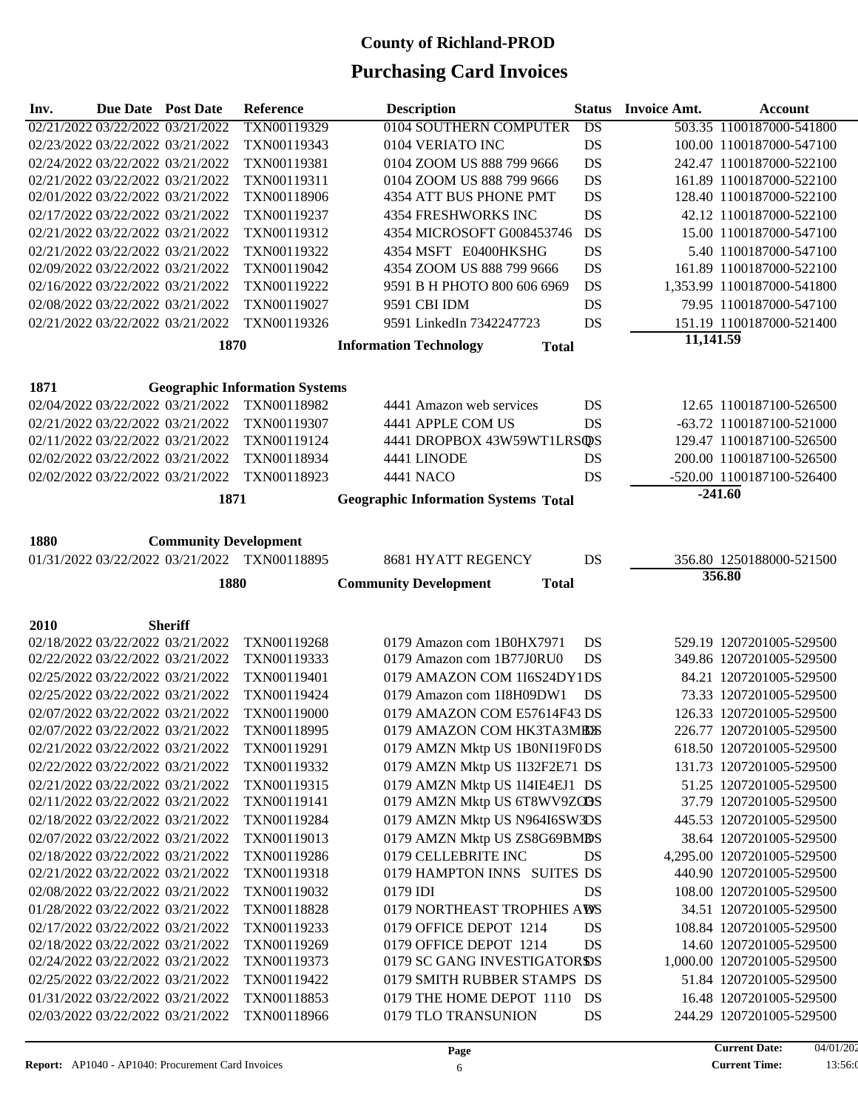| Inv. | Due Date Post Date               |                                                                      | Reference                                    | <b>Description</b>                                     | <b>Status</b> | <b>Invoice Amt.</b> | <b>Account</b>                                       |
|------|----------------------------------|----------------------------------------------------------------------|----------------------------------------------|--------------------------------------------------------|---------------|---------------------|------------------------------------------------------|
|      | 02/21/2022 03/22/2022 03/21/2022 |                                                                      | TXN00119329                                  | 0104 SOUTHERN COMPUTER                                 | DS            |                     | 503.35 1100187000-541800                             |
|      | 02/23/2022 03/22/2022 03/21/2022 |                                                                      | TXN00119343                                  | 0104 VERIATO INC                                       | <b>DS</b>     |                     | 100.00 1100187000-547100                             |
|      |                                  | 02/24/2022 03/22/2022 03/21/2022                                     | TXN00119381                                  | 0104 ZOOM US 888 799 9666                              | DS            |                     | 242.47 1100187000-522100                             |
|      | 02/21/2022 03/22/2022 03/21/2022 |                                                                      | TXN00119311                                  | 0104 ZOOM US 888 799 9666                              | DS            |                     | 161.89 1100187000-522100                             |
|      | 02/01/2022 03/22/2022 03/21/2022 |                                                                      | TXN00118906                                  | 4354 ATT BUS PHONE PMT                                 | DS            |                     | 128.40 1100187000-522100                             |
|      | 02/17/2022 03/22/2022 03/21/2022 |                                                                      | TXN00119237                                  | 4354 FRESHWORKS INC                                    | DS            |                     | 42.12 1100187000-522100                              |
|      | 02/21/2022 03/22/2022 03/21/2022 |                                                                      | TXN00119312                                  | 4354 MICROSOFT G008453746                              | DS            |                     | 15.00 1100187000-547100                              |
|      |                                  | 02/21/2022 03/22/2022 03/21/2022                                     | TXN00119322                                  | 4354 MSFT E0400HKSHG                                   | DS            |                     | 5.40 1100187000-547100                               |
|      |                                  | 02/09/2022 03/22/2022 03/21/2022                                     | TXN00119042                                  | 4354 ZOOM US 888 799 9666                              | DS            |                     | 161.89 1100187000-522100                             |
|      | 02/16/2022 03/22/2022 03/21/2022 |                                                                      | TXN00119222                                  | 9591 B H PHOTO 800 606 6969                            | DS            |                     | 1,353.99 1100187000-541800                           |
|      | 02/08/2022 03/22/2022 03/21/2022 |                                                                      | TXN00119027                                  | 9591 CBI IDM                                           | DS            |                     | 79.95 1100187000-547100                              |
|      |                                  | 02/21/2022 03/22/2022 03/21/2022                                     | TXN00119326                                  | 9591 LinkedIn 7342247723                               | DS            |                     | 151.19 1100187000-521400                             |
|      |                                  | 1870                                                                 |                                              | <b>Information Technology</b><br><b>Total</b>          |               | 11,141.59           |                                                      |
|      |                                  |                                                                      |                                              |                                                        |               |                     |                                                      |
| 1871 |                                  |                                                                      | <b>Geographic Information Systems</b>        |                                                        |               |                     |                                                      |
|      |                                  | 02/04/2022 03/22/2022 03/21/2022                                     | TXN00118982                                  | 4441 Amazon web services                               | DS            |                     | 12.65 1100187100-526500                              |
|      |                                  | 02/21/2022 03/22/2022 03/21/2022                                     | TXN00119307                                  | 4441 APPLE COM US                                      | DS            |                     | -63.72 1100187100-521000                             |
|      | 02/11/2022 03/22/2022 03/21/2022 |                                                                      | TXN00119124                                  | 4441 DROPBOX 43W59WT1LRSQDS                            |               |                     | 129.47 1100187100-526500                             |
|      | 02/02/2022 03/22/2022 03/21/2022 |                                                                      | TXN00118934                                  | 4441 LINODE                                            | DS            |                     | 200.00 1100187100-526500                             |
|      |                                  | 02/02/2022 03/22/2022 03/21/2022                                     | TXN00118923                                  | 4441 NACO                                              | DS            |                     | -520.00 1100187100-526400                            |
|      |                                  | 1871                                                                 |                                              | <b>Geographic Information Systems Total</b>            |               |                     | $-241.60$                                            |
|      |                                  |                                                                      |                                              |                                                        |               |                     |                                                      |
| 1880 |                                  | <b>Community Development</b>                                         |                                              |                                                        |               |                     |                                                      |
|      |                                  |                                                                      | 01/31/2022 03/22/2022 03/21/2022 TXN00118895 | 8681 HYATT REGENCY                                     | DS            |                     | 356.80 1250188000-521500                             |
|      |                                  |                                                                      |                                              |                                                        |               |                     | 356.80                                               |
|      |                                  | 1880                                                                 |                                              | <b>Community Development</b><br><b>Total</b>           |               |                     |                                                      |
|      |                                  |                                                                      |                                              |                                                        |               |                     |                                                      |
| 2010 |                                  | <b>Sheriff</b>                                                       |                                              |                                                        |               |                     |                                                      |
|      |                                  | 02/18/2022 03/22/2022 03/21/2022<br>02/22/2022 03/22/2022 03/21/2022 | TXN00119268<br>TXN00119333                   | 0179 Amazon com 1B0HX7971<br>0179 Amazon com 1B77J0RU0 | DS<br>DS      |                     | 529.19 1207201005-529500<br>349.86 1207201005-529500 |
|      | 02/25/2022 03/22/2022 03/21/2022 |                                                                      | TXN00119401                                  | 0179 AMAZON COM 1I6S24DY1DS                            |               |                     | 84.21 1207201005-529500                              |
|      |                                  | 02/25/2022 03/22/2022 03/21/2022                                     | TXN00119424                                  | 0179 Amazon com 1I8H09DW1                              | DS            |                     | 73.33 1207201005-529500                              |
|      |                                  | 02/07/2022 03/22/2022 03/21/2022                                     | TXN00119000                                  | 0179 AMAZON COM E57614F43 DS                           |               |                     | 126.33 1207201005-529500                             |
|      | 02/07/2022 03/22/2022 03/21/2022 |                                                                      | TXN00118995                                  | 0179 AMAZON COM HK3TA3MBOS                             |               |                     | 226.77 1207201005-529500                             |
|      | 02/21/2022 03/22/2022 03/21/2022 |                                                                      | TXN00119291                                  | 0179 AMZN Mktp US 1B0NI19F0DS                          |               |                     | 618.50 1207201005-529500                             |
|      | 02/22/2022 03/22/2022 03/21/2022 |                                                                      | TXN00119332                                  | 0179 AMZN Mktp US 1I32F2E71 DS                         |               |                     | 131.73 1207201005-529500                             |
|      | 02/21/2022 03/22/2022 03/21/2022 |                                                                      | TXN00119315                                  | 0179 AMZN Mktp US 1I4IE4EJ1 DS                         |               |                     | 51.25 1207201005-529500                              |
|      | 02/11/2022 03/22/2022 03/21/2022 |                                                                      | TXN00119141                                  | 0179 AMZN Mktp US 6T8WV9ZOBS                           |               |                     | 37.79 1207201005-529500                              |
|      | 02/18/2022 03/22/2022 03/21/2022 |                                                                      | TXN00119284                                  | 0179 AMZN Mktp US N964I6SW3DS                          |               |                     | 445.53 1207201005-529500                             |
|      | 02/07/2022 03/22/2022 03/21/2022 |                                                                      | TXN00119013                                  | 0179 AMZN Mktp US ZS8G69BMBS                           |               |                     | 38.64 1207201005-529500                              |
|      |                                  | 02/18/2022 03/22/2022 03/21/2022                                     | TXN00119286                                  | 0179 CELLEBRITE INC                                    | DS            |                     | 4,295.00 1207201005-529500                           |
|      |                                  | 02/21/2022 03/22/2022 03/21/2022                                     | TXN00119318                                  | 0179 HAMPTON INNS SUITES DS                            |               |                     | 440.90 1207201005-529500                             |
|      | 02/08/2022 03/22/2022 03/21/2022 |                                                                      | TXN00119032                                  | 0179 IDI                                               | DS            |                     | 108.00 1207201005-529500                             |
|      | 01/28/2022 03/22/2022 03/21/2022 |                                                                      | TXN00118828                                  | 0179 NORTHEAST TROPHIES AWS                            |               |                     | 34.51 1207201005-529500                              |
|      | 02/17/2022 03/22/2022 03/21/2022 |                                                                      | TXN00119233                                  | 0179 OFFICE DEPOT 1214                                 | DS            |                     | 108.84 1207201005-529500                             |
|      | 02/18/2022 03/22/2022 03/21/2022 |                                                                      | TXN00119269                                  | 0179 OFFICE DEPOT 1214                                 | DS            |                     | 14.60 1207201005-529500                              |
|      | 02/24/2022 03/22/2022 03/21/2022 |                                                                      | TXN00119373                                  | 0179 SC GANG INVESTIGATORDS                            |               |                     | 1,000.00 1207201005-529500                           |
|      | 02/25/2022 03/22/2022 03/21/2022 |                                                                      | TXN00119422                                  | 0179 SMITH RUBBER STAMPS DS                            |               |                     | 51.84 1207201005-529500                              |
|      | 01/31/2022 03/22/2022 03/21/2022 |                                                                      | TXN00118853                                  | 0179 THE HOME DEPOT 1110                               | DS            |                     | 16.48 1207201005-529500                              |
|      |                                  | 02/03/2022 03/22/2022 03/21/2022                                     | TXN00118966                                  | 0179 TLO TRANSUNION                                    | DS            |                     | 244.29 1207201005-529500                             |
|      |                                  |                                                                      |                                              |                                                        |               |                     |                                                      |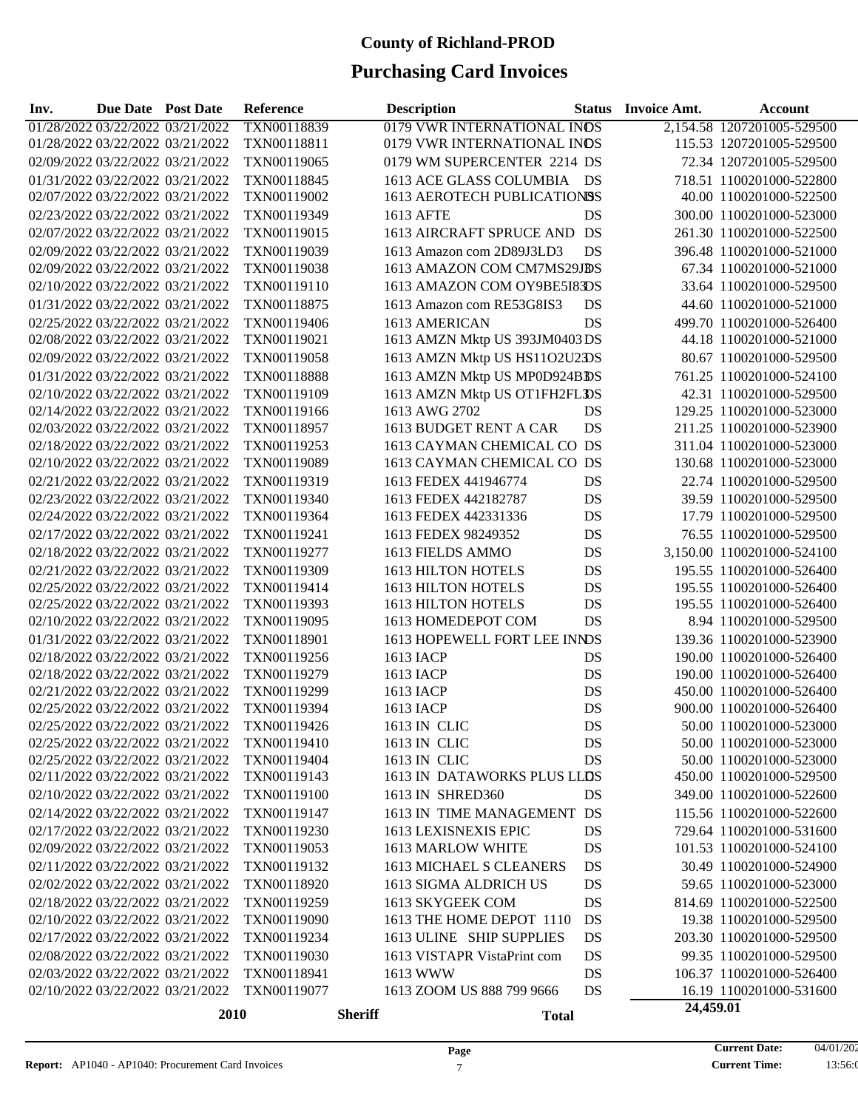| Inv. | <b>Due Date Post Date</b> |                                  | Reference   |                | <b>Description</b>             | <b>Status</b> | <b>Invoice Amt.</b> | <b>Account</b>             |
|------|---------------------------|----------------------------------|-------------|----------------|--------------------------------|---------------|---------------------|----------------------------|
|      |                           | 01/28/2022 03/22/2022 03/21/2022 | TXN00118839 |                | 0179 VWR INTERNATIONAL INDS    |               |                     | 2,154.58 1207201005-529500 |
|      |                           | 01/28/2022 03/22/2022 03/21/2022 | TXN00118811 |                | 0179 VWR INTERNATIONAL INDS    |               |                     | 115.53 1207201005-529500   |
|      |                           | 02/09/2022 03/22/2022 03/21/2022 | TXN00119065 |                | 0179 WM SUPERCENTER 2214 DS    |               |                     | 72.34 1207201005-529500    |
|      |                           | 01/31/2022 03/22/2022 03/21/2022 | TXN00118845 |                | 1613 ACE GLASS COLUMBIA DS     |               |                     | 718.51 1100201000-522800   |
|      |                           | 02/07/2022 03/22/2022 03/21/2022 | TXN00119002 |                | 1613 AEROTECH PUBLICATIONSS    |               |                     | 40.00 1100201000-522500    |
|      |                           | 02/23/2022 03/22/2022 03/21/2022 | TXN00119349 |                | 1613 AFTE                      | DS            |                     | 300.00 1100201000-523000   |
|      |                           | 02/07/2022 03/22/2022 03/21/2022 | TXN00119015 |                | 1613 AIRCRAFT SPRUCE AND DS    |               |                     | 261.30 1100201000-522500   |
|      |                           | 02/09/2022 03/22/2022 03/21/2022 | TXN00119039 |                | 1613 Amazon com 2D89J3LD3      | DS            |                     | 396.48 1100201000-521000   |
|      |                           | 02/09/2022 03/22/2022 03/21/2022 | TXN00119038 |                | 1613 AMAZON COM CM7MS29JBS     |               |                     | 67.34 1100201000-521000    |
|      |                           | 02/10/2022 03/22/2022 03/21/2022 | TXN00119110 |                | 1613 AMAZON COM OY9BE5I83DS    |               |                     | 33.64 1100201000-529500    |
|      |                           | 01/31/2022 03/22/2022 03/21/2022 | TXN00118875 |                | 1613 Amazon com RE53G8IS3      | DS            |                     | 44.60 1100201000-521000    |
|      |                           | 02/25/2022 03/22/2022 03/21/2022 | TXN00119406 |                | 1613 AMERICAN                  | DS            |                     | 499.70 1100201000-526400   |
|      |                           | 02/08/2022 03/22/2022 03/21/2022 | TXN00119021 |                | 1613 AMZN Mktp US 393JM0403 DS |               |                     | 44.18 1100201000-521000    |
|      |                           | 02/09/2022 03/22/2022 03/21/2022 | TXN00119058 |                | 1613 AMZN Mktp US HS11O2U2DS   |               |                     | 80.67 1100201000-529500    |
|      |                           | 01/31/2022 03/22/2022 03/21/2022 | TXN00118888 |                | 1613 AMZN Mktp US MP0D924BDS   |               |                     | 761.25 1100201000-524100   |
|      |                           | 02/10/2022 03/22/2022 03/21/2022 | TXN00119109 |                | 1613 AMZN Mktp US OT1FH2FLDS   |               |                     | 42.31 1100201000-529500    |
|      |                           | 02/14/2022 03/22/2022 03/21/2022 | TXN00119166 |                | 1613 AWG 2702                  | DS            |                     | 129.25 1100201000-523000   |
|      |                           | 02/03/2022 03/22/2022 03/21/2022 | TXN00118957 |                | 1613 BUDGET RENT A CAR         | DS            |                     | 211.25 1100201000-523900   |
|      |                           | 02/18/2022 03/22/2022 03/21/2022 | TXN00119253 |                | 1613 CAYMAN CHEMICAL CO DS     |               |                     | 311.04 1100201000-523000   |
|      |                           | 02/10/2022 03/22/2022 03/21/2022 | TXN00119089 |                | 1613 CAYMAN CHEMICAL CO DS     |               |                     | 130.68 1100201000-523000   |
|      |                           | 02/21/2022 03/22/2022 03/21/2022 | TXN00119319 |                | 1613 FEDEX 441946774           | DS            |                     | 22.74 1100201000-529500    |
|      |                           | 02/23/2022 03/22/2022 03/21/2022 | TXN00119340 |                | 1613 FEDEX 442182787           | DS            |                     | 39.59 1100201000-529500    |
|      |                           | 02/24/2022 03/22/2022 03/21/2022 | TXN00119364 |                | 1613 FEDEX 442331336           | DS            |                     | 17.79 1100201000-529500    |
|      |                           | 02/17/2022 03/22/2022 03/21/2022 | TXN00119241 |                | 1613 FEDEX 98249352            | DS            |                     | 76.55 1100201000-529500    |
|      |                           | 02/18/2022 03/22/2022 03/21/2022 | TXN00119277 |                | 1613 FIELDS AMMO               | DS            |                     | 3,150.00 1100201000-524100 |
|      |                           | 02/21/2022 03/22/2022 03/21/2022 | TXN00119309 |                | 1613 HILTON HOTELS             | DS            |                     | 195.55 1100201000-526400   |
|      |                           | 02/25/2022 03/22/2022 03/21/2022 | TXN00119414 |                | 1613 HILTON HOTELS             | DS            |                     | 195.55 1100201000-526400   |
|      |                           | 02/25/2022 03/22/2022 03/21/2022 | TXN00119393 |                | 1613 HILTON HOTELS             | DS            |                     | 195.55 1100201000-526400   |
|      |                           | 02/10/2022 03/22/2022 03/21/2022 | TXN00119095 |                | 1613 HOMEDEPOT COM             | DS            |                     | 8.94 1100201000-529500     |
|      |                           | 01/31/2022 03/22/2022 03/21/2022 | TXN00118901 |                | 1613 HOPEWELL FORT LEE INNDS   |               |                     | 139.36 1100201000-523900   |
|      |                           | 02/18/2022 03/22/2022 03/21/2022 | TXN00119256 |                | 1613 IACP                      | DS            |                     | 190.00 1100201000-526400   |
|      |                           | 02/18/2022 03/22/2022 03/21/2022 | TXN00119279 |                | 1613 IACP                      | DS            |                     | 190.00 1100201000-526400   |
|      |                           | 02/21/2022 03/22/2022 03/21/2022 | TXN00119299 |                | 1613 IACP                      | DS            |                     | 450.00 1100201000-526400   |
|      |                           | 02/25/2022 03/22/2022 03/21/2022 | TXN00119394 |                | 1613 IACP                      | DS            |                     | 900.00 1100201000-526400   |
|      |                           | 02/25/2022 03/22/2022 03/21/2022 | TXN00119426 |                | 1613 IN CLIC                   | DS            |                     | 50.00 1100201000-523000    |
|      |                           | 02/25/2022 03/22/2022 03/21/2022 | TXN00119410 |                | 1613 IN CLIC                   | DS            |                     | 50.00 1100201000-523000    |
|      |                           | 02/25/2022 03/22/2022 03/21/2022 | TXN00119404 |                | 1613 IN CLIC                   | DS            |                     | 50.00 1100201000-523000    |
|      |                           | 02/11/2022 03/22/2022 03/21/2022 | TXN00119143 |                | 1613 IN DATAWORKS PLUS LLDS    |               |                     | 450.00 1100201000-529500   |
|      |                           | 02/10/2022 03/22/2022 03/21/2022 | TXN00119100 |                | 1613 IN SHRED360               | DS            |                     | 349.00 1100201000-522600   |
|      |                           | 02/14/2022 03/22/2022 03/21/2022 | TXN00119147 |                | 1613 IN TIME MANAGEMENT DS     |               |                     | 115.56 1100201000-522600   |
|      |                           | 02/17/2022 03/22/2022 03/21/2022 | TXN00119230 |                | 1613 LEXISNEXIS EPIC           | DS            |                     | 729.64 1100201000-531600   |
|      |                           | 02/09/2022 03/22/2022 03/21/2022 | TXN00119053 |                | 1613 MARLOW WHITE              | DS            |                     | 101.53 1100201000-524100   |
|      |                           | 02/11/2022 03/22/2022 03/21/2022 | TXN00119132 |                | <b>1613 MICHAEL S CLEANERS</b> | DS            |                     | 30.49 1100201000-524900    |
|      |                           | 02/02/2022 03/22/2022 03/21/2022 | TXN00118920 |                | 1613 SIGMA ALDRICH US          | DS            |                     | 59.65 1100201000-523000    |
|      |                           | 02/18/2022 03/22/2022 03/21/2022 | TXN00119259 |                | 1613 SKYGEEK COM               | DS            |                     | 814.69 1100201000-522500   |
|      |                           | 02/10/2022 03/22/2022 03/21/2022 | TXN00119090 |                | 1613 THE HOME DEPOT 1110       | DS            |                     | 19.38 1100201000-529500    |
|      |                           | 02/17/2022 03/22/2022 03/21/2022 | TXN00119234 |                | 1613 ULINE SHIP SUPPLIES       | DS            |                     | 203.30 1100201000-529500   |
|      |                           | 02/08/2022 03/22/2022 03/21/2022 | TXN00119030 |                | 1613 VISTAPR VistaPrint com    | DS            |                     | 99.35 1100201000-529500    |
|      |                           | 02/03/2022 03/22/2022 03/21/2022 | TXN00118941 |                | 1613 WWW                       | DS            |                     | 106.37 1100201000-526400   |
|      |                           | 02/10/2022 03/22/2022 03/21/2022 | TXN00119077 |                | 1613 ZOOM US 888 799 9666      | DS            |                     | 16.19 1100201000-531600    |
|      |                           | 2010                             |             | <b>Sheriff</b> | <b>Total</b>                   |               | 24,459.01           |                            |
|      |                           |                                  |             |                |                                |               |                     |                            |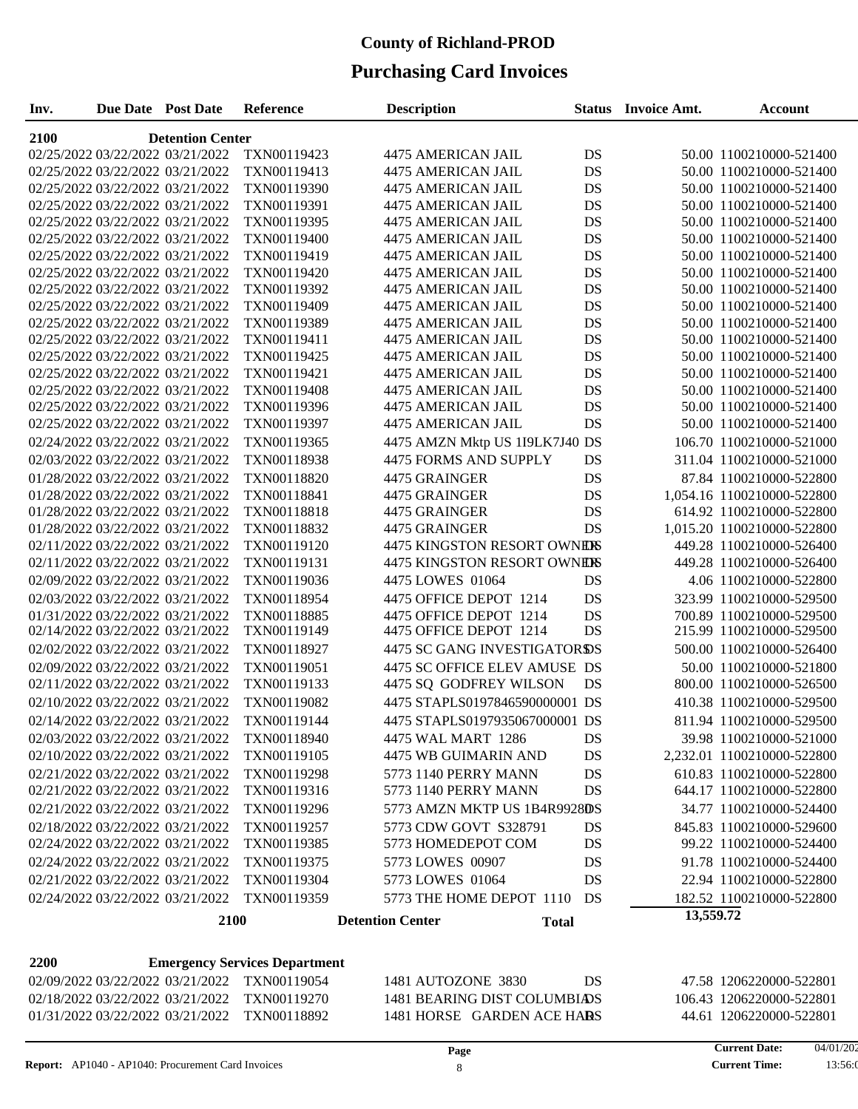## **Purchasing Card Invoices**

| Inv.                                         | Due Date Post Date | Reference                            | <b>Description</b>                      |    | <b>Status</b> Invoice Amt. | Account                    |  |  |  |
|----------------------------------------------|--------------------|--------------------------------------|-----------------------------------------|----|----------------------------|----------------------------|--|--|--|
| 2100<br><b>Detention Center</b>              |                    |                                      |                                         |    |                            |                            |  |  |  |
| 02/25/2022 03/22/2022 03/21/2022             |                    | TXN00119423                          | 4475 AMERICAN JAIL                      | DS |                            | 50.00 1100210000-521400    |  |  |  |
| 02/25/2022 03/22/2022 03/21/2022             |                    | TXN00119413                          | 4475 AMERICAN JAIL                      | DS |                            | 50.00 1100210000-521400    |  |  |  |
| 02/25/2022 03/22/2022 03/21/2022             |                    | TXN00119390                          | 4475 AMERICAN JAIL                      | DS |                            | 50.00 1100210000-521400    |  |  |  |
| 02/25/2022 03/22/2022 03/21/2022             |                    | TXN00119391                          | <b>4475 AMERICAN JAIL</b>               | DS |                            | 50.00 1100210000-521400    |  |  |  |
| 02/25/2022 03/22/2022 03/21/2022             |                    | TXN00119395                          | 4475 AMERICAN JAIL                      | DS |                            | 50.00 1100210000-521400    |  |  |  |
| 02/25/2022 03/22/2022 03/21/2022             |                    | TXN00119400                          | 4475 AMERICAN JAIL                      | DS |                            | 50.00 1100210000-521400    |  |  |  |
| 02/25/2022 03/22/2022 03/21/2022             |                    | TXN00119419                          | 4475 AMERICAN JAIL                      | DS |                            | 50.00 1100210000-521400    |  |  |  |
| 02/25/2022 03/22/2022 03/21/2022             |                    | TXN00119420                          | 4475 AMERICAN JAIL                      | DS |                            | 50.00 1100210000-521400    |  |  |  |
| 02/25/2022 03/22/2022 03/21/2022             |                    | TXN00119392                          | 4475 AMERICAN JAIL                      | DS |                            | 50.00 1100210000-521400    |  |  |  |
| 02/25/2022 03/22/2022 03/21/2022             |                    | TXN00119409                          | 4475 AMERICAN JAIL                      | DS |                            | 50.00 1100210000-521400    |  |  |  |
| 02/25/2022 03/22/2022 03/21/2022             |                    | TXN00119389                          | 4475 AMERICAN JAIL                      | DS |                            | 50.00 1100210000-521400    |  |  |  |
| 02/25/2022 03/22/2022 03/21/2022             |                    | TXN00119411                          | 4475 AMERICAN JAIL                      | DS |                            | 50.00 1100210000-521400    |  |  |  |
| 02/25/2022 03/22/2022 03/21/2022             |                    | TXN00119425                          | 4475 AMERICAN JAIL                      | DS |                            | 50.00 1100210000-521400    |  |  |  |
| 02/25/2022 03/22/2022 03/21/2022             |                    | TXN00119421                          | 4475 AMERICAN JAIL                      | DS |                            | 50.00 1100210000-521400    |  |  |  |
| 02/25/2022 03/22/2022 03/21/2022             |                    | TXN00119408                          | <b>4475 AMERICAN JAIL</b>               | DS |                            | 50.00 1100210000-521400    |  |  |  |
| 02/25/2022 03/22/2022 03/21/2022             |                    | TXN00119396                          | 4475 AMERICAN JAIL                      | DS |                            | 50.00 1100210000-521400    |  |  |  |
| 02/25/2022 03/22/2022 03/21/2022             |                    | TXN00119397                          | 4475 AMERICAN JAIL                      | DS |                            | 50.00 1100210000-521400    |  |  |  |
| 02/24/2022 03/22/2022 03/21/2022             |                    | TXN00119365                          | 4475 AMZN Mktp US 1I9LK7J40 DS          |    |                            | 106.70 1100210000-521000   |  |  |  |
| 02/03/2022 03/22/2022 03/21/2022             |                    | TXN00118938                          | 4475 FORMS AND SUPPLY                   | DS |                            | 311.04 1100210000-521000   |  |  |  |
| 01/28/2022 03/22/2022 03/21/2022             |                    | TXN00118820                          | 4475 GRAINGER                           | DS |                            | 87.84 1100210000-522800    |  |  |  |
| 01/28/2022 03/22/2022 03/21/2022             |                    | TXN00118841                          | 4475 GRAINGER                           | DS |                            | 1,054.16 1100210000-522800 |  |  |  |
| 01/28/2022 03/22/2022 03/21/2022             |                    | TXN00118818                          | 4475 GRAINGER                           | DS |                            | 614.92 1100210000-522800   |  |  |  |
| 01/28/2022 03/22/2022 03/21/2022             |                    | TXN00118832                          | 4475 GRAINGER                           | DS |                            | 1,015.20 1100210000-522800 |  |  |  |
| 02/11/2022 03/22/2022 03/21/2022             |                    | TXN00119120                          | 4475 KINGSTON RESORT OWNERS             |    |                            | 449.28 1100210000-526400   |  |  |  |
| 02/11/2022 03/22/2022 03/21/2022             |                    | TXN00119131                          | <b>4475 KINGSTON RESORT OWNERS</b>      |    |                            | 449.28 1100210000-526400   |  |  |  |
| 02/09/2022 03/22/2022 03/21/2022             |                    | TXN00119036                          | 4475 LOWES 01064                        | DS |                            | 4.06 1100210000-522800     |  |  |  |
| 02/03/2022 03/22/2022 03/21/2022             |                    | TXN00118954                          | 4475 OFFICE DEPOT 1214                  | DS |                            | 323.99 1100210000-529500   |  |  |  |
| 01/31/2022 03/22/2022 03/21/2022             |                    | TXN00118885                          | 4475 OFFICE DEPOT 1214                  | DS |                            | 700.89 1100210000-529500   |  |  |  |
| 02/14/2022 03/22/2022 03/21/2022             |                    | TXN00119149                          | 4475 OFFICE DEPOT 1214                  | DS |                            | 215.99 1100210000-529500   |  |  |  |
| 02/02/2022 03/22/2022 03/21/2022             |                    | TXN00118927                          | <b>4475 SC GANG INVESTIGATORDS</b>      |    |                            | 500.00 1100210000-526400   |  |  |  |
| 02/09/2022 03/22/2022 03/21/2022             |                    | TXN00119051                          | 4475 SC OFFICE ELEV AMUSE DS            |    |                            | 50.00 1100210000-521800    |  |  |  |
| 02/11/2022 03/22/2022 03/21/2022             |                    | TXN00119133                          | 4475 SQ GODFREY WILSON                  | DS |                            | 800.00 1100210000-526500   |  |  |  |
| 02/10/2022 03/22/2022 03/21/2022             |                    | TXN00119082                          | 4475 STAPLS0197846590000001 DS          |    |                            | 410.38 1100210000-529500   |  |  |  |
| 02/14/2022 03/22/2022 03/21/2022             |                    | TXN00119144                          | 4475 STAPLS0197935067000001 DS          |    |                            | 811.94 1100210000-529500   |  |  |  |
| 02/03/2022 03/22/2022 03/21/2022             |                    | TXN00118940                          | 4475 WAL MART 1286                      | DS |                            | 39.98 1100210000-521000    |  |  |  |
| 02/10/2022 03/22/2022 03/21/2022             |                    | TXN00119105                          | 4475 WB GUIMARIN AND                    | DS |                            | 2,232.01 1100210000-522800 |  |  |  |
| 02/21/2022 03/22/2022 03/21/2022             |                    | TXN00119298                          | 5773 1140 PERRY MANN                    | DS |                            | 610.83 1100210000-522800   |  |  |  |
| 02/21/2022 03/22/2022 03/21/2022             |                    | TXN00119316                          | 5773 1140 PERRY MANN                    | DS |                            | 644.17 1100210000-522800   |  |  |  |
| 02/21/2022 03/22/2022 03/21/2022             |                    | TXN00119296                          | 5773 AMZN MKTP US 1B4R9928DS            |    |                            | 34.77 1100210000-524400    |  |  |  |
| 02/18/2022 03/22/2022 03/21/2022             |                    | TXN00119257                          | 5773 CDW GOVT S328791                   | DS |                            | 845.83 1100210000-529600   |  |  |  |
| 02/24/2022 03/22/2022 03/21/2022             |                    | TXN00119385                          | 5773 HOMEDEPOT COM                      | DS |                            | 99.22 1100210000-524400    |  |  |  |
| 02/24/2022 03/22/2022 03/21/2022             |                    | TXN00119375                          | 5773 LOWES 00907                        | DS |                            | 91.78 1100210000-524400    |  |  |  |
| 02/21/2022 03/22/2022 03/21/2022             |                    | TXN00119304                          | 5773 LOWES 01064                        | DS |                            | 22.94 1100210000-522800    |  |  |  |
| 02/24/2022 03/22/2022 03/21/2022             |                    | TXN00119359                          | 5773 THE HOME DEPOT 1110                | DS |                            | 182.52 1100210000-522800   |  |  |  |
|                                              |                    |                                      |                                         |    | 13,559.72                  |                            |  |  |  |
|                                              | 2100               |                                      | <b>Detention Center</b><br><b>Total</b> |    |                            |                            |  |  |  |
| 2200                                         |                    | <b>Emergency Services Department</b> |                                         |    |                            |                            |  |  |  |
| 02/09/2022 03/22/2022 03/21/2022             |                    | TXN00119054                          | 1481 AUTOZONE 3830                      | DS |                            | 47.58 1206220000-522801    |  |  |  |
| 02/18/2022 03/22/2022 03/21/2022 TXN00119270 |                    |                                      | 1481 BEARING DIST COLUMBIADS            |    |                            | 106.43 1206220000-522801   |  |  |  |

01/31/2022 03/22/2022 03/21/2022 TXN00118892 1481 HORSE GARDEN ACE HARS 44.61 1206220000-522801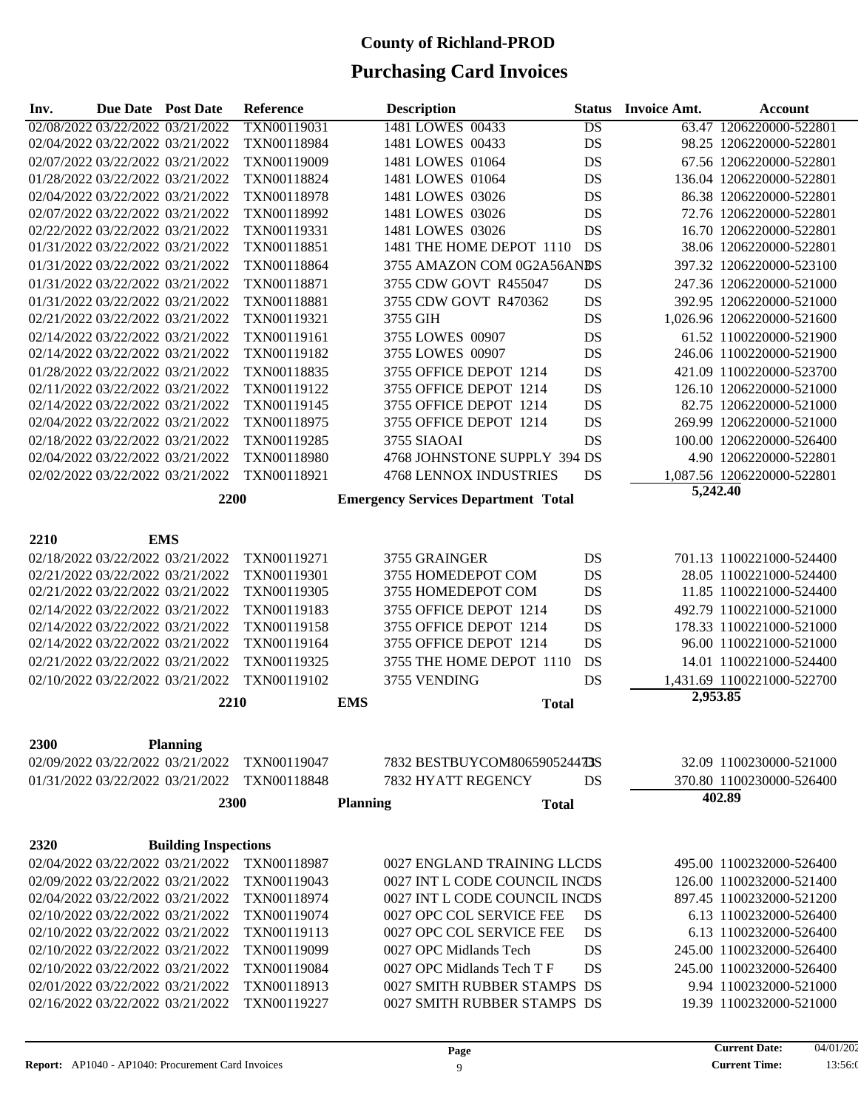| Inv. | <b>Due Date</b> Post Date        |                                  | Reference   |                 | <b>Description</b>                         | <b>Status</b>   | <b>Invoice Amt.</b> | <b>Account</b>             |
|------|----------------------------------|----------------------------------|-------------|-----------------|--------------------------------------------|-----------------|---------------------|----------------------------|
|      |                                  | 02/08/2022 03/22/2022 03/21/2022 | TXN00119031 |                 | 1481 LOWES 00433                           | $\overline{DS}$ |                     | 63.47 1206220000-522801    |
|      |                                  | 02/04/2022 03/22/2022 03/21/2022 | TXN00118984 |                 | 1481 LOWES 00433                           | DS              |                     | 98.25 1206220000-522801    |
|      | 02/07/2022 03/22/2022 03/21/2022 |                                  | TXN00119009 |                 | 1481 LOWES 01064                           | DS              |                     | 67.56 1206220000-522801    |
|      |                                  | 01/28/2022 03/22/2022 03/21/2022 | TXN00118824 |                 | 1481 LOWES 01064                           | DS              |                     | 136.04 1206220000-522801   |
|      |                                  | 02/04/2022 03/22/2022 03/21/2022 | TXN00118978 |                 | 1481 LOWES 03026                           | DS              |                     | 86.38 1206220000-522801    |
|      |                                  | 02/07/2022 03/22/2022 03/21/2022 | TXN00118992 |                 | 1481 LOWES 03026                           | DS              |                     | 72.76 1206220000-522801    |
|      |                                  | 02/22/2022 03/22/2022 03/21/2022 | TXN00119331 |                 | 1481 LOWES 03026                           | DS              |                     | 16.70 1206220000-522801    |
|      |                                  | 01/31/2022 03/22/2022 03/21/2022 | TXN00118851 |                 | 1481 THE HOME DEPOT 1110                   | DS              |                     | 38.06 1206220000-522801    |
|      |                                  | 01/31/2022 03/22/2022 03/21/2022 | TXN00118864 |                 | 3755 AMAZON COM 0G2A56ANDS                 |                 |                     | 397.32 1206220000-523100   |
|      |                                  | 01/31/2022 03/22/2022 03/21/2022 | TXN00118871 |                 | 3755 CDW GOVT R455047                      | DS              |                     | 247.36 1206220000-521000   |
|      |                                  | 01/31/2022 03/22/2022 03/21/2022 | TXN00118881 |                 | 3755 CDW GOVT R470362                      | DS              |                     | 392.95 1206220000-521000   |
|      |                                  | 02/21/2022 03/22/2022 03/21/2022 | TXN00119321 |                 | 3755 GIH                                   | DS              |                     | 1,026.96 1206220000-521600 |
|      |                                  | 02/14/2022 03/22/2022 03/21/2022 | TXN00119161 |                 | 3755 LOWES 00907                           | DS              |                     | 61.52 1100220000-521900    |
|      |                                  | 02/14/2022 03/22/2022 03/21/2022 | TXN00119182 |                 | 3755 LOWES 00907                           | DS              |                     | 246.06 1100220000-521900   |
|      | 01/28/2022 03/22/2022 03/21/2022 |                                  | TXN00118835 |                 | 3755 OFFICE DEPOT 1214                     | DS              |                     | 421.09 1100220000-523700   |
|      | 02/11/2022 03/22/2022 03/21/2022 |                                  | TXN00119122 |                 | 3755 OFFICE DEPOT 1214                     | DS              |                     | 126.10 1206220000-521000   |
|      | 02/14/2022 03/22/2022 03/21/2022 |                                  | TXN00119145 |                 | 3755 OFFICE DEPOT 1214                     | DS              |                     | 82.75 1206220000-521000    |
|      | 02/04/2022 03/22/2022 03/21/2022 |                                  | TXN00118975 |                 | 3755 OFFICE DEPOT 1214                     | DS              |                     | 269.99 1206220000-521000   |
|      | 02/18/2022 03/22/2022 03/21/2022 |                                  | TXN00119285 |                 | 3755 SIAOAI                                | DS              |                     | 100.00 1206220000-526400   |
|      |                                  | 02/04/2022 03/22/2022 03/21/2022 | TXN00118980 |                 | 4768 JOHNSTONE SUPPLY 394 DS               |                 |                     | 4.90 1206220000-522801     |
|      |                                  | 02/02/2022 03/22/2022 03/21/2022 | TXN00118921 |                 | <b>4768 LENNOX INDUSTRIES</b>              | DS              |                     | 1,087.56 1206220000-522801 |
|      |                                  | 2200                             |             |                 |                                            |                 | 5,242.40            |                            |
|      |                                  |                                  |             |                 | <b>Emergency Services Department Total</b> |                 |                     |                            |
|      |                                  |                                  |             |                 |                                            |                 |                     |                            |
| 2210 |                                  | <b>EMS</b>                       |             |                 |                                            |                 |                     |                            |
|      |                                  | 02/18/2022 03/22/2022 03/21/2022 | TXN00119271 |                 | 3755 GRAINGER                              | DS              |                     | 701.13 1100221000-524400   |
|      |                                  | 02/21/2022 03/22/2022 03/21/2022 | TXN00119301 |                 | 3755 HOMEDEPOT COM                         | DS              |                     | 28.05 1100221000-524400    |
|      |                                  | 02/21/2022 03/22/2022 03/21/2022 | TXN00119305 |                 | 3755 HOMEDEPOT COM                         | DS              |                     | 11.85 1100221000-524400    |
|      |                                  | 02/14/2022 03/22/2022 03/21/2022 | TXN00119183 |                 | 3755 OFFICE DEPOT 1214                     | DS              |                     | 492.79 1100221000-521000   |
|      |                                  | 02/14/2022 03/22/2022 03/21/2022 | TXN00119158 |                 | 3755 OFFICE DEPOT 1214                     | DS              |                     | 178.33 1100221000-521000   |
|      |                                  | 02/14/2022 03/22/2022 03/21/2022 | TXN00119164 |                 | 3755 OFFICE DEPOT 1214                     | DS              |                     | 96.00 1100221000-521000    |
|      |                                  | 02/21/2022 03/22/2022 03/21/2022 | TXN00119325 |                 | 3755 THE HOME DEPOT 1110                   | <b>DS</b>       |                     | 14.01 1100221000-524400    |
|      |                                  | 02/10/2022 03/22/2022 03/21/2022 | TXN00119102 |                 | 3755 VENDING                               | <b>DS</b>       |                     | 1,431.69 1100221000-522700 |
|      |                                  | 2210                             |             | <b>EMS</b>      | <b>Total</b>                               |                 | 2,953.85            |                            |
|      |                                  |                                  |             |                 |                                            |                 |                     |                            |
| 2300 |                                  | <b>Planning</b>                  |             |                 |                                            |                 |                     |                            |
|      |                                  | 02/09/2022 03/22/2022 03/21/2022 | TXN00119047 |                 | 7832 BESTBUYCOM806590524473S               |                 |                     | 32.09 1100230000-521000    |
|      |                                  | 01/31/2022 03/22/2022 03/21/2022 | TXN00118848 |                 | 7832 HYATT REGENCY                         | DS              |                     | 370.80 1100230000-526400   |
|      |                                  | 2300                             |             | <b>Planning</b> | <b>Total</b>                               |                 |                     | 402.89                     |
|      |                                  |                                  |             |                 |                                            |                 |                     |                            |
| 2320 |                                  | <b>Building Inspections</b>      |             |                 |                                            |                 |                     |                            |
|      |                                  | 02/04/2022 03/22/2022 03/21/2022 | TXN00118987 |                 | 0027 ENGLAND TRAINING LLCDS                |                 |                     | 495.00 1100232000-526400   |
|      |                                  | 02/09/2022 03/22/2022 03/21/2022 | TXN00119043 |                 | 0027 INT L CODE COUNCIL INCDS              |                 |                     | 126.00 1100232000-521400   |
|      |                                  | 02/04/2022 03/22/2022 03/21/2022 | TXN00118974 |                 | 0027 INT L CODE COUNCIL INCDS              |                 |                     | 897.45 1100232000-521200   |
|      |                                  | 02/10/2022 03/22/2022 03/21/2022 | TXN00119074 |                 | 0027 OPC COL SERVICE FEE                   | DS              |                     | 6.13 1100232000-526400     |
|      |                                  | 02/10/2022 03/22/2022 03/21/2022 | TXN00119113 |                 | 0027 OPC COL SERVICE FEE                   | DS              |                     | 6.13 1100232000-526400     |
|      | 02/10/2022 03/22/2022 03/21/2022 |                                  | TXN00119099 |                 | 0027 OPC Midlands Tech                     | DS              |                     | 245.00 1100232000-526400   |
|      | 02/10/2022 03/22/2022 03/21/2022 |                                  | TXN00119084 |                 | 0027 OPC Midlands Tech T F                 | DS              |                     | 245.00 1100232000-526400   |
|      |                                  | 02/01/2022 03/22/2022 03/21/2022 | TXN00118913 |                 | 0027 SMITH RUBBER STAMPS DS                |                 |                     | 9.94 1100232000-521000     |
|      |                                  | 02/16/2022 03/22/2022 03/21/2022 | TXN00119227 |                 | 0027 SMITH RUBBER STAMPS DS                |                 |                     | 19.39 1100232000-521000    |
|      |                                  |                                  |             |                 |                                            |                 |                     |                            |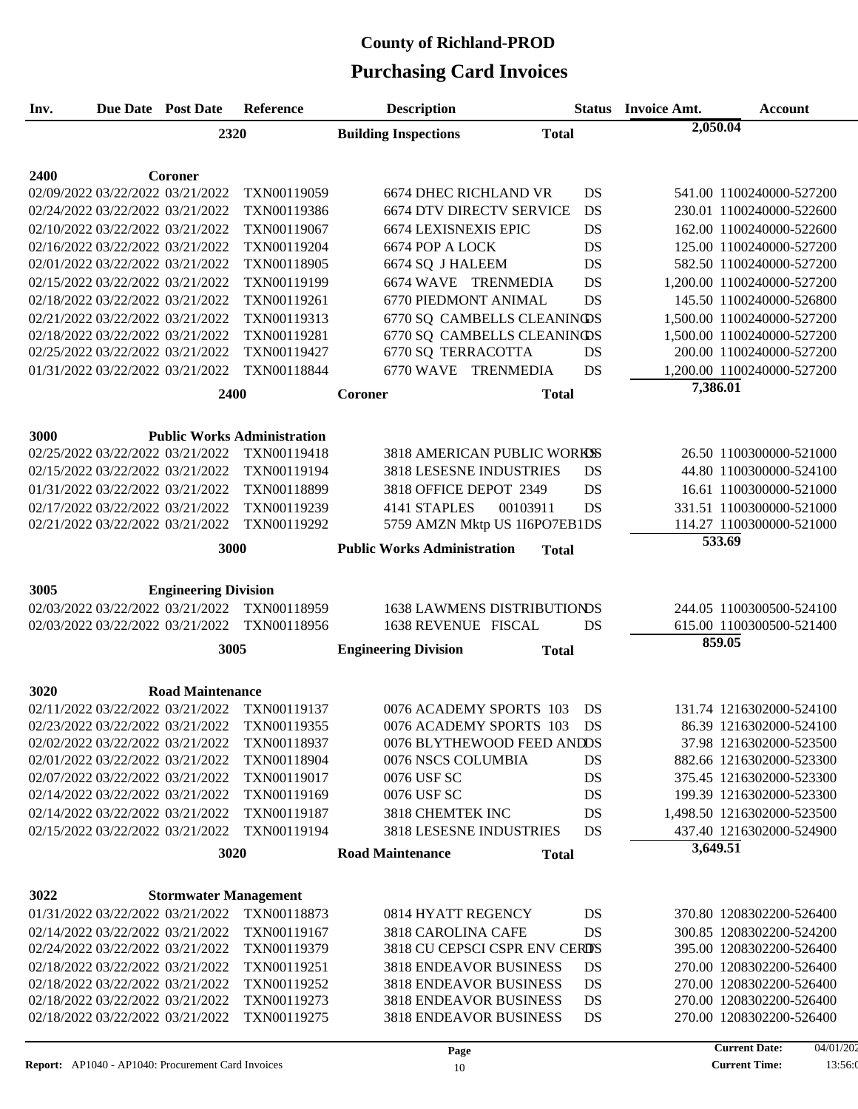# **Purchasing Card Invoices County of Richland-PROD**

| Inv.                                                                 | Due Date Post Date           | Reference                          | <b>Description</b>                                        |              | <b>Status</b> Invoice Amt. | <b>Account</b>                                           |
|----------------------------------------------------------------------|------------------------------|------------------------------------|-----------------------------------------------------------|--------------|----------------------------|----------------------------------------------------------|
|                                                                      | 2320                         |                                    | <b>Building Inspections</b>                               | <b>Total</b> | 2,050.04                   |                                                          |
|                                                                      |                              |                                    |                                                           |              |                            |                                                          |
|                                                                      |                              |                                    |                                                           |              |                            |                                                          |
| 2400<br>02/09/2022 03/22/2022 03/21/2022                             | Coroner                      | TXN00119059                        | <b>6674 DHEC RICHLAND VR</b>                              | DS           |                            | 541.00 1100240000-527200                                 |
| 02/24/2022 03/22/2022 03/21/2022                                     |                              |                                    | <b>6674 DTV DIRECTV SERVICE</b>                           | DS           |                            | 230.01 1100240000-522600                                 |
| 02/10/2022 03/22/2022 03/21/2022                                     |                              | TXN00119386<br>TXN00119067         | <b>6674 LEXISNEXIS EPIC</b>                               | DS           |                            | 162.00 1100240000-522600                                 |
|                                                                      |                              |                                    |                                                           |              |                            | 125.00 1100240000-527200                                 |
| 02/16/2022 03/22/2022 03/21/2022<br>02/01/2022 03/22/2022 03/21/2022 |                              | TXN00119204<br>TXN00118905         | 6674 POP A LOCK<br>6674 SQ J HALEEM                       | DS<br>DS     |                            | 582.50 1100240000-527200                                 |
| 02/15/2022 03/22/2022 03/21/2022                                     |                              | TXN00119199                        | 6674 WAVE TRENMEDIA                                       | DS           |                            | 1,200.00 1100240000-527200                               |
| 02/18/2022 03/22/2022 03/21/2022                                     |                              | TXN00119261                        | 6770 PIEDMONT ANIMAL                                      | DS           |                            | 145.50 1100240000-526800                                 |
|                                                                      |                              |                                    |                                                           |              |                            |                                                          |
| 02/21/2022 03/22/2022 03/21/2022<br>02/18/2022 03/22/2022 03/21/2022 |                              | TXN00119313<br>TXN00119281         | 6770 SQ CAMBELLS CLEANINOS<br>6770 SQ CAMBELLS CLEANINGDS |              |                            | 1,500.00 1100240000-527200<br>1,500.00 1100240000-527200 |
| 02/25/2022 03/22/2022 03/21/2022                                     |                              | TXN00119427                        | 6770 SQ TERRACOTTA                                        | DS           |                            | 200.00 1100240000-527200                                 |
| 01/31/2022 03/22/2022 03/21/2022                                     |                              | TXN00118844                        | 6770 WAVE TRENMEDIA                                       | DS           |                            | 1,200.00 1100240000-527200                               |
|                                                                      |                              |                                    |                                                           |              | 7,386.01                   |                                                          |
|                                                                      | 2400                         |                                    | Coroner                                                   | <b>Total</b> |                            |                                                          |
|                                                                      |                              |                                    |                                                           |              |                            |                                                          |
| 3000                                                                 |                              | <b>Public Works Administration</b> |                                                           |              |                            |                                                          |
| 02/25/2022 03/22/2022 03/21/2022                                     |                              | TXN00119418                        | 3818 AMERICAN PUBLIC WORKSS                               |              |                            | 26.50 1100300000-521000                                  |
| 02/15/2022 03/22/2022 03/21/2022                                     |                              | TXN00119194                        | 3818 LESESNE INDUSTRIES                                   | DS           |                            | 44.80 1100300000-524100                                  |
| 01/31/2022 03/22/2022 03/21/2022                                     |                              | TXN00118899                        | 3818 OFFICE DEPOT 2349                                    | DS           |                            | 16.61 1100300000-521000                                  |
| 02/17/2022 03/22/2022 03/21/2022                                     |                              | TXN00119239                        | 4141 STAPLES<br>00103911                                  | DS           |                            | 331.51 1100300000-521000                                 |
| 02/21/2022 03/22/2022 03/21/2022                                     |                              | TXN00119292                        | 5759 AMZN Mktp US 1I6PO7EB1DS                             |              |                            | 114.27 1100300000-521000                                 |
|                                                                      | 3000                         |                                    | <b>Public Works Administration</b>                        | <b>Total</b> |                            | 533.69                                                   |
|                                                                      |                              |                                    |                                                           |              |                            |                                                          |
|                                                                      |                              |                                    |                                                           |              |                            |                                                          |
| 3005                                                                 | <b>Engineering Division</b>  |                                    |                                                           |              |                            |                                                          |
| 02/03/2022 03/22/2022 03/21/2022                                     |                              | TXN00118959                        | <b>1638 LAWMENS DISTRIBUTIONDS</b>                        |              |                            | 244.05 1100300500-524100                                 |
| 02/03/2022 03/22/2022 03/21/2022                                     |                              | TXN00118956                        | 1638 REVENUE FISCAL                                       | DS           |                            | 615.00 1100300500-521400<br>859.05                       |
|                                                                      | 3005                         |                                    | <b>Engineering Division</b>                               | <b>Total</b> |                            |                                                          |
|                                                                      |                              |                                    |                                                           |              |                            |                                                          |
| 3020                                                                 | <b>Road Maintenance</b>      |                                    |                                                           |              |                            |                                                          |
| 02/11/2022 03/22/2022 03/21/2022                                     |                              | TXN00119137                        | 0076 ACADEMY SPORTS 103                                   | DS           |                            | 131.74 1216302000-524100                                 |
| 02/23/2022 03/22/2022 03/21/2022                                     |                              | TXN00119355                        | 0076 ACADEMY SPORTS 103                                   | DS           |                            | 86.39 1216302000-524100                                  |
| 02/02/2022 03/22/2022 03/21/2022                                     |                              | TXN00118937                        | 0076 BLYTHEWOOD FEED ANDDS                                |              |                            | 37.98 1216302000-523500                                  |
| 02/01/2022 03/22/2022 03/21/2022                                     |                              | TXN00118904                        | 0076 NSCS COLUMBIA                                        | DS           |                            | 882.66 1216302000-523300                                 |
| 02/07/2022 03/22/2022 03/21/2022                                     |                              | TXN00119017                        | 0076 USF SC                                               | DS           |                            | 375.45 1216302000-523300                                 |
| 02/14/2022 03/22/2022 03/21/2022                                     |                              | TXN00119169                        | 0076 USF SC                                               | DS           |                            | 199.39 1216302000-523300                                 |
| 02/14/2022 03/22/2022 03/21/2022                                     |                              | TXN00119187                        | 3818 CHEMTEK INC                                          | DS           |                            | 1,498.50 1216302000-523500                               |
| 02/15/2022 03/22/2022 03/21/2022                                     |                              | TXN00119194                        | 3818 LESESNE INDUSTRIES                                   | <b>DS</b>    |                            | 437.40 1216302000-524900                                 |
|                                                                      | 3020                         |                                    | <b>Road Maintenance</b>                                   | <b>Total</b> | 3,649.51                   |                                                          |
|                                                                      |                              |                                    |                                                           |              |                            |                                                          |
|                                                                      |                              |                                    |                                                           |              |                            |                                                          |
| 3022                                                                 | <b>Stormwater Management</b> |                                    |                                                           |              |                            |                                                          |
| 01/31/2022 03/22/2022 03/21/2022                                     |                              | TXN00118873                        | 0814 HYATT REGENCY                                        | DS           |                            | 370.80 1208302200-526400                                 |
| 02/14/2022 03/22/2022 03/21/2022<br>02/24/2022 03/22/2022 03/21/2022 |                              | TXN00119167<br>TXN00119379         | 3818 CAROLINA CAFE<br>3818 CU CEPSCI CSPR ENV CERDS       | DS           |                            | 300.85 1208302200-524200<br>395.00 1208302200-526400     |
| 02/18/2022 03/22/2022 03/21/2022                                     |                              | TXN00119251                        | 3818 ENDEAVOR BUSINESS                                    | DS           |                            | 270.00 1208302200-526400                                 |
| 02/18/2022 03/22/2022 03/21/2022                                     |                              | TXN00119252                        | <b>3818 ENDEAVOR BUSINESS</b>                             | DS           |                            | 270.00 1208302200-526400                                 |
| 02/18/2022 03/22/2022 03/21/2022                                     |                              | TXN00119273                        | <b>3818 ENDEAVOR BUSINESS</b>                             | DS           |                            | 270.00 1208302200-526400                                 |
| 02/18/2022 03/22/2022 03/21/2022                                     |                              | TXN00119275                        | <b>3818 ENDEAVOR BUSINESS</b>                             | DS           |                            | 270.00 1208302200-526400                                 |
|                                                                      |                              |                                    |                                                           |              |                            |                                                          |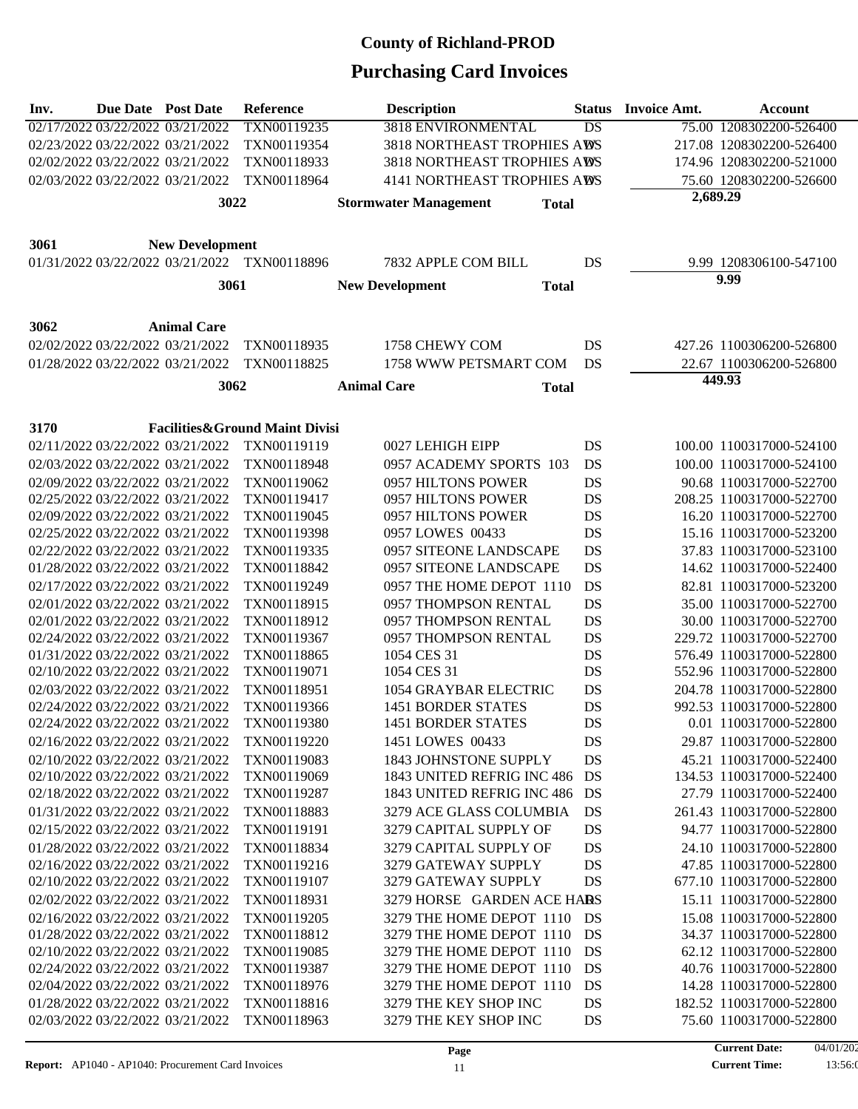| Inv. | <b>Due Date</b> Post Date        |                                                                      | <b>Reference</b>                             | <b>Description</b>                  |              | <b>Status</b> | <b>Invoice Amt.</b> | Account                                              |
|------|----------------------------------|----------------------------------------------------------------------|----------------------------------------------|-------------------------------------|--------------|---------------|---------------------|------------------------------------------------------|
|      | 02/17/2022 03/22/2022 03/21/2022 |                                                                      | TXN00119235                                  | 3818 ENVIRONMENTAL                  |              | DS            |                     | 75.00 1208302200-526400                              |
|      | 02/23/2022 03/22/2022 03/21/2022 |                                                                      | TXN00119354                                  | 3818 NORTHEAST TROPHIES AWS         |              |               |                     | 217.08 1208302200-526400                             |
|      |                                  | 02/02/2022 03/22/2022 03/21/2022                                     | TXN00118933                                  | 3818 NORTHEAST TROPHIES AWS         |              |               |                     | 174.96 1208302200-521000                             |
|      |                                  | 02/03/2022 03/22/2022 03/21/2022                                     | TXN00118964                                  | <b>4141 NORTHEAST TROPHIES AWS</b>  |              |               |                     | 75.60 1208302200-526600                              |
|      |                                  | 3022                                                                 |                                              | <b>Stormwater Management</b>        | <b>Total</b> |               | 2,689.29            |                                                      |
|      |                                  |                                                                      |                                              |                                     |              |               |                     |                                                      |
| 3061 |                                  | <b>New Development</b>                                               |                                              |                                     |              |               |                     |                                                      |
|      |                                  |                                                                      | 01/31/2022 03/22/2022 03/21/2022 TXN00118896 | 7832 APPLE COM BILL                 |              | DS            |                     | 9.99 1208306100-547100                               |
|      |                                  |                                                                      |                                              |                                     |              |               |                     | 9.99                                                 |
|      |                                  | 3061                                                                 |                                              | <b>New Development</b>              | <b>Total</b> |               |                     |                                                      |
|      |                                  |                                                                      |                                              |                                     |              |               |                     |                                                      |
| 3062 | 02/02/2022 03/22/2022 03/21/2022 | <b>Animal Care</b>                                                   | TXN00118935                                  | 1758 CHEWY COM                      |              | DS            |                     |                                                      |
|      |                                  |                                                                      |                                              |                                     |              |               |                     | 427.26 1100306200-526800                             |
|      |                                  | 01/28/2022 03/22/2022 03/21/2022                                     | TXN00118825                                  | 1758 WWW PETSMART COM               |              | DS            |                     | 22.67 1100306200-526800<br>449.93                    |
|      |                                  | 3062                                                                 |                                              | <b>Animal Care</b>                  | <b>Total</b> |               |                     |                                                      |
|      |                                  |                                                                      |                                              |                                     |              |               |                     |                                                      |
| 3170 |                                  |                                                                      | <b>Facilities&amp;Ground Maint Divisi</b>    |                                     |              |               |                     |                                                      |
|      |                                  | 02/11/2022 03/22/2022 03/21/2022                                     | TXN00119119                                  | 0027 LEHIGH EIPP                    |              | DS            |                     | 100.00 1100317000-524100                             |
|      |                                  | 02/03/2022 03/22/2022 03/21/2022                                     | TXN00118948                                  | 0957 ACADEMY SPORTS 103             |              | DS            |                     | 100.00 1100317000-524100                             |
|      |                                  | 02/09/2022 03/22/2022 03/21/2022                                     | TXN00119062                                  | 0957 HILTONS POWER                  |              | DS            |                     | 90.68 1100317000-522700                              |
|      |                                  | 02/25/2022 03/22/2022 03/21/2022                                     | TXN00119417                                  | 0957 HILTONS POWER                  |              | DS            |                     | 208.25 1100317000-522700                             |
|      |                                  | 02/09/2022 03/22/2022 03/21/2022                                     | TXN00119045                                  | 0957 HILTONS POWER                  |              | DS            |                     | 16.20 1100317000-522700                              |
|      |                                  | 02/25/2022 03/22/2022 03/21/2022                                     | TXN00119398                                  | 0957 LOWES 00433                    |              | DS            |                     | 15.16 1100317000-523200                              |
|      |                                  | 02/22/2022 03/22/2022 03/21/2022                                     | TXN00119335                                  | 0957 SITEONE LANDSCAPE              |              | <b>DS</b>     |                     | 37.83 1100317000-523100                              |
|      |                                  | 01/28/2022 03/22/2022 03/21/2022                                     | TXN00118842                                  | 0957 SITEONE LANDSCAPE              |              | DS            |                     | 14.62 1100317000-522400                              |
|      |                                  | 02/17/2022 03/22/2022 03/21/2022                                     | TXN00119249                                  | 0957 THE HOME DEPOT 1110            |              | DS            |                     | 82.81 1100317000-523200                              |
|      |                                  | 02/01/2022 03/22/2022 03/21/2022                                     | TXN00118915                                  | 0957 THOMPSON RENTAL                |              | <b>DS</b>     |                     | 35.00 1100317000-522700                              |
|      |                                  | 02/01/2022 03/22/2022 03/21/2022                                     | TXN00118912                                  | 0957 THOMPSON RENTAL                |              | DS            |                     | 30.00 1100317000-522700                              |
|      |                                  | 02/24/2022 03/22/2022 03/21/2022<br>01/31/2022 03/22/2022 03/21/2022 | TXN00119367<br>TXN00118865                   | 0957 THOMPSON RENTAL<br>1054 CES 31 |              | DS<br>DS      |                     | 229.72 1100317000-522700<br>576.49 1100317000-522800 |
|      | 02/10/2022 03/22/2022 03/21/2022 |                                                                      | TXN00119071                                  | 1054 CES 31                         |              | DS            |                     | 552.96 1100317000-522800                             |
|      | 02/03/2022 03/22/2022 03/21/2022 |                                                                      | TXN00118951                                  | 1054 GRAYBAR ELECTRIC               |              | <b>DS</b>     |                     | 204.78 1100317000-522800                             |
|      | 02/24/2022 03/22/2022 03/21/2022 |                                                                      | TXN00119366                                  | <b>1451 BORDER STATES</b>           |              | <b>DS</b>     |                     | 992.53 1100317000-522800                             |
|      | 02/24/2022 03/22/2022 03/21/2022 |                                                                      | TXN00119380                                  | <b>1451 BORDER STATES</b>           |              | DS            |                     | 0.01 1100317000-522800                               |
|      | 02/16/2022 03/22/2022 03/21/2022 |                                                                      | TXN00119220                                  | 1451 LOWES 00433                    |              | DS            |                     | 29.87 1100317000-522800                              |
|      | 02/10/2022 03/22/2022 03/21/2022 |                                                                      | TXN00119083                                  | 1843 JOHNSTONE SUPPLY               |              | DS            |                     | 45.21 1100317000-522400                              |
|      |                                  | 02/10/2022 03/22/2022 03/21/2022                                     | TXN00119069                                  | 1843 UNITED REFRIG INC 486          |              | DS            |                     | 134.53 1100317000-522400                             |
|      |                                  | 02/18/2022 03/22/2022 03/21/2022                                     | TXN00119287                                  | 1843 UNITED REFRIG INC 486          |              | DS            |                     | 27.79 1100317000-522400                              |
|      | 01/31/2022 03/22/2022 03/21/2022 |                                                                      | TXN00118883                                  | 3279 ACE GLASS COLUMBIA             |              | DS            |                     | 261.43 1100317000-522800                             |
|      | 02/15/2022 03/22/2022 03/21/2022 |                                                                      | TXN00119191                                  | 3279 CAPITAL SUPPLY OF              |              | DS            |                     | 94.77 1100317000-522800                              |
|      | 01/28/2022 03/22/2022 03/21/2022 |                                                                      | TXN00118834                                  | 3279 CAPITAL SUPPLY OF              |              | DS            |                     | 24.10 1100317000-522800                              |
|      |                                  | 02/16/2022 03/22/2022 03/21/2022                                     | TXN00119216                                  | 3279 GATEWAY SUPPLY                 |              | DS            |                     | 47.85 1100317000-522800                              |
|      | 02/10/2022 03/22/2022 03/21/2022 |                                                                      | TXN00119107                                  | 3279 GATEWAY SUPPLY                 |              | DS            |                     | 677.10 1100317000-522800                             |
|      | 02/02/2022 03/22/2022 03/21/2022 |                                                                      | TXN00118931                                  | 3279 HORSE GARDEN ACE HARS          |              |               |                     | 15.11 1100317000-522800                              |
|      | 02/16/2022 03/22/2022 03/21/2022 |                                                                      | TXN00119205                                  | 3279 THE HOME DEPOT 1110            |              | DS            |                     | 15.08 1100317000-522800                              |
|      | 01/28/2022 03/22/2022 03/21/2022 |                                                                      | TXN00118812                                  | 3279 THE HOME DEPOT 1110            |              | DS            |                     | 34.37 1100317000-522800                              |
|      | 02/10/2022 03/22/2022 03/21/2022 |                                                                      | TXN00119085                                  | 3279 THE HOME DEPOT 1110            |              | DS            |                     | 62.12 1100317000-522800                              |
|      | 02/24/2022 03/22/2022 03/21/2022 |                                                                      | TXN00119387                                  | 3279 THE HOME DEPOT 1110            |              | DS            |                     | 40.76 1100317000-522800                              |
|      | 02/04/2022 03/22/2022 03/21/2022 |                                                                      | TXN00118976                                  | 3279 THE HOME DEPOT 1110            |              | DS            |                     | 14.28 1100317000-522800                              |
|      |                                  | 01/28/2022 03/22/2022 03/21/2022                                     | TXN00118816                                  | 3279 THE KEY SHOP INC               |              | DS            |                     | 182.52 1100317000-522800                             |
|      |                                  | 02/03/2022 03/22/2022 03/21/2022                                     | TXN00118963                                  | 3279 THE KEY SHOP INC               |              | DS            |                     | 75.60 1100317000-522800                              |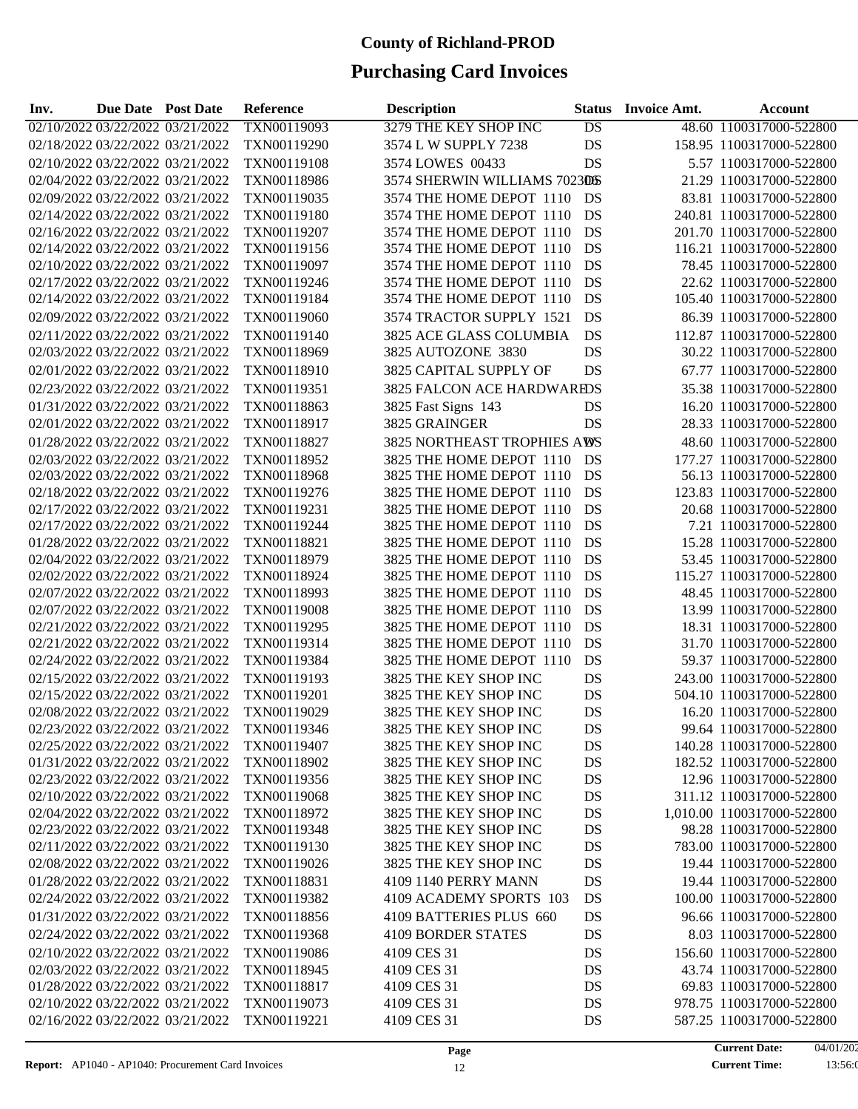| Inv. | Due Date Post Date |                                  | <b>Reference</b> | <b>Description</b>                 | <b>Status</b> | <b>Invoice Amt.</b> | <b>Account</b>             |
|------|--------------------|----------------------------------|------------------|------------------------------------|---------------|---------------------|----------------------------|
|      |                    | 02/10/2022 03/22/2022 03/21/2022 | TXN00119093      | 3279 THE KEY SHOP INC              | DS            |                     | 48.60 1100317000-522800    |
|      |                    | 02/18/2022 03/22/2022 03/21/2022 | TXN00119290      | 3574 L W SUPPLY 7238               | DS            |                     | 158.95 1100317000-522800   |
|      |                    | 02/10/2022 03/22/2022 03/21/2022 | TXN00119108      | 3574 LOWES 00433                   | DS            |                     | 5.57 1100317000-522800     |
|      |                    | 02/04/2022 03/22/2022 03/21/2022 | TXN00118986      | 3574 SHERWIN WILLIAMS 7023DS       |               |                     | 21.29 1100317000-522800    |
|      |                    | 02/09/2022 03/22/2022 03/21/2022 | TXN00119035      | 3574 THE HOME DEPOT 1110           | DS            |                     | 83.81 1100317000-522800    |
|      |                    | 02/14/2022 03/22/2022 03/21/2022 | TXN00119180      | 3574 THE HOME DEPOT 1110           | DS            |                     | 240.81 1100317000-522800   |
|      |                    | 02/16/2022 03/22/2022 03/21/2022 | TXN00119207      | 3574 THE HOME DEPOT 1110           | DS            |                     | 201.70 1100317000-522800   |
|      |                    | 02/14/2022 03/22/2022 03/21/2022 | TXN00119156      | 3574 THE HOME DEPOT 1110           | DS            |                     | 116.21 1100317000-522800   |
|      |                    | 02/10/2022 03/22/2022 03/21/2022 | TXN00119097      | 3574 THE HOME DEPOT 1110           | DS            |                     | 78.45 1100317000-522800    |
|      |                    | 02/17/2022 03/22/2022 03/21/2022 | TXN00119246      | 3574 THE HOME DEPOT 1110           | DS            |                     | 22.62 1100317000-522800    |
|      |                    | 02/14/2022 03/22/2022 03/21/2022 | TXN00119184      | 3574 THE HOME DEPOT 1110           | DS            |                     | 105.40 1100317000-522800   |
|      |                    | 02/09/2022 03/22/2022 03/21/2022 | TXN00119060      | 3574 TRACTOR SUPPLY 1521           | DS            |                     | 86.39 1100317000-522800    |
|      |                    | 02/11/2022 03/22/2022 03/21/2022 | TXN00119140      | 3825 ACE GLASS COLUMBIA            | DS            |                     | 112.87 1100317000-522800   |
|      |                    | 02/03/2022 03/22/2022 03/21/2022 | TXN00118969      | 3825 AUTOZONE 3830                 | DS            |                     | 30.22 1100317000-522800    |
|      |                    | 02/01/2022 03/22/2022 03/21/2022 | TXN00118910      | 3825 CAPITAL SUPPLY OF             | DS            |                     | 67.77 1100317000-522800    |
|      |                    | 02/23/2022 03/22/2022 03/21/2022 | TXN00119351      | 3825 FALCON ACE HARDWAREDS         |               |                     | 35.38 1100317000-522800    |
|      |                    |                                  |                  |                                    |               |                     |                            |
|      |                    | 01/31/2022 03/22/2022 03/21/2022 | TXN00118863      | 3825 Fast Signs 143                | DS            |                     | 16.20 1100317000-522800    |
|      |                    | 02/01/2022 03/22/2022 03/21/2022 | TXN00118917      | 3825 GRAINGER                      | DS            |                     | 28.33 1100317000-522800    |
|      |                    | 01/28/2022 03/22/2022 03/21/2022 | TXN00118827      | <b>3825 NORTHEAST TROPHIES AWS</b> |               |                     | 48.60 1100317000-522800    |
|      |                    | 02/03/2022 03/22/2022 03/21/2022 | TXN00118952      | 3825 THE HOME DEPOT 1110           | DS            |                     | 177.27 1100317000-522800   |
|      |                    | 02/03/2022 03/22/2022 03/21/2022 | TXN00118968      | 3825 THE HOME DEPOT 1110           | DS            |                     | 56.13 1100317000-522800    |
|      |                    | 02/18/2022 03/22/2022 03/21/2022 | TXN00119276      | 3825 THE HOME DEPOT 1110           | DS            |                     | 123.83 1100317000-522800   |
|      |                    | 02/17/2022 03/22/2022 03/21/2022 | TXN00119231      | 3825 THE HOME DEPOT 1110           | DS            |                     | 20.68 1100317000-522800    |
|      |                    | 02/17/2022 03/22/2022 03/21/2022 | TXN00119244      | 3825 THE HOME DEPOT 1110           | DS            |                     | 7.21 1100317000-522800     |
|      |                    | 01/28/2022 03/22/2022 03/21/2022 | TXN00118821      | 3825 THE HOME DEPOT 1110           | DS            |                     | 15.28 1100317000-522800    |
|      |                    | 02/04/2022 03/22/2022 03/21/2022 | TXN00118979      | 3825 THE HOME DEPOT 1110           | DS            |                     | 53.45 1100317000-522800    |
|      |                    | 02/02/2022 03/22/2022 03/21/2022 | TXN00118924      | 3825 THE HOME DEPOT 1110           | DS            |                     | 115.27 1100317000-522800   |
|      |                    | 02/07/2022 03/22/2022 03/21/2022 | TXN00118993      | 3825 THE HOME DEPOT 1110           | DS            |                     | 48.45 1100317000-522800    |
|      |                    | 02/07/2022 03/22/2022 03/21/2022 | TXN00119008      | 3825 THE HOME DEPOT 1110           | DS            |                     | 13.99 1100317000-522800    |
|      |                    | 02/21/2022 03/22/2022 03/21/2022 | TXN00119295      | 3825 THE HOME DEPOT 1110           | DS            |                     | 18.31 1100317000-522800    |
|      |                    | 02/21/2022 03/22/2022 03/21/2022 | TXN00119314      | 3825 THE HOME DEPOT 1110           | DS            |                     | 31.70 1100317000-522800    |
|      |                    | 02/24/2022 03/22/2022 03/21/2022 | TXN00119384      | 3825 THE HOME DEPOT 1110           | DS            |                     | 59.37 1100317000-522800    |
|      |                    | 02/15/2022 03/22/2022 03/21/2022 | TXN00119193      | 3825 THE KEY SHOP INC              | DS            |                     | 243.00 1100317000-522800   |
|      |                    | 02/15/2022 03/22/2022 03/21/2022 | TXN00119201      | 3825 THE KEY SHOP INC              | DS            |                     | 504.10 1100317000-522800   |
|      |                    | 02/08/2022 03/22/2022 03/21/2022 | TXN00119029      | 3825 THE KEY SHOP INC              | DS            |                     | 16.20 1100317000-522800    |
|      |                    | 02/23/2022 03/22/2022 03/21/2022 | TXN00119346      | 3825 THE KEY SHOP INC              | DS            |                     | 99.64 1100317000-522800    |
|      |                    | 02/25/2022 03/22/2022 03/21/2022 | TXN00119407      | 3825 THE KEY SHOP INC              | DS            |                     | 140.28 1100317000-522800   |
|      |                    | 01/31/2022 03/22/2022 03/21/2022 | TXN00118902      | 3825 THE KEY SHOP INC              | DS            |                     | 182.52 1100317000-522800   |
|      |                    | 02/23/2022 03/22/2022 03/21/2022 | TXN00119356      | 3825 THE KEY SHOP INC              | DS            |                     | 12.96 1100317000-522800    |
|      |                    | 02/10/2022 03/22/2022 03/21/2022 | TXN00119068      | 3825 THE KEY SHOP INC              | DS            |                     | 311.12 1100317000-522800   |
|      |                    | 02/04/2022 03/22/2022 03/21/2022 | TXN00118972      | 3825 THE KEY SHOP INC              | DS            |                     | 1,010.00 1100317000-522800 |
|      |                    | 02/23/2022 03/22/2022 03/21/2022 | TXN00119348      | 3825 THE KEY SHOP INC              | DS            |                     | 98.28 1100317000-522800    |
|      |                    | 02/11/2022 03/22/2022 03/21/2022 | TXN00119130      | 3825 THE KEY SHOP INC              | DS            |                     | 783.00 1100317000-522800   |
|      |                    | 02/08/2022 03/22/2022 03/21/2022 | TXN00119026      | 3825 THE KEY SHOP INC              | DS            |                     | 19.44 1100317000-522800    |
|      |                    | 01/28/2022 03/22/2022 03/21/2022 | TXN00118831      | 4109 1140 PERRY MANN               | DS            |                     | 19.44 1100317000-522800    |
|      |                    | 02/24/2022 03/22/2022 03/21/2022 | TXN00119382      | 4109 ACADEMY SPORTS 103            | DS            |                     | 100.00 1100317000-522800   |
|      |                    | 01/31/2022 03/22/2022 03/21/2022 | TXN00118856      | 4109 BATTERIES PLUS 660            | DS            |                     | 96.66 1100317000-522800    |
|      |                    | 02/24/2022 03/22/2022 03/21/2022 | TXN00119368      | <b>4109 BORDER STATES</b>          | DS            |                     | 8.03 1100317000-522800     |
|      |                    | 02/10/2022 03/22/2022 03/21/2022 | TXN00119086      | 4109 CES 31                        | DS            |                     | 156.60 1100317000-522800   |
|      |                    | 02/03/2022 03/22/2022 03/21/2022 | TXN00118945      | 4109 CES 31                        | DS            |                     | 43.74 1100317000-522800    |
|      |                    | 01/28/2022 03/22/2022 03/21/2022 | TXN00118817      | 4109 CES 31                        | DS            |                     | 69.83 1100317000-522800    |
|      |                    | 02/10/2022 03/22/2022 03/21/2022 | TXN00119073      | 4109 CES 31                        | DS            |                     | 978.75 1100317000-522800   |
|      |                    | 02/16/2022 03/22/2022 03/21/2022 | TXN00119221      | 4109 CES 31                        | DS            |                     | 587.25 1100317000-522800   |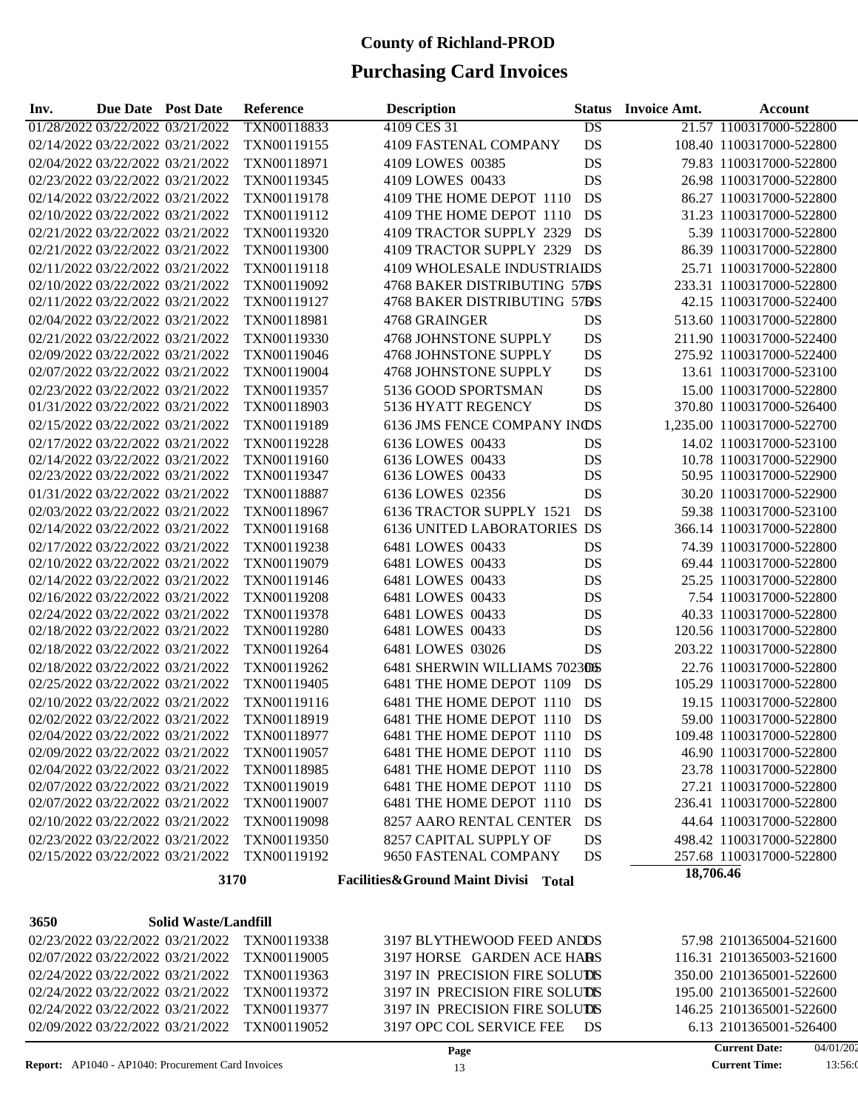| Inv. | <b>Due Date Post Date</b>        |  | Reference   | <b>Description</b>                   | <b>Status</b> | <b>Invoice Amt.</b> | Account                    |
|------|----------------------------------|--|-------------|--------------------------------------|---------------|---------------------|----------------------------|
|      | 01/28/2022 03/22/2022 03/21/2022 |  | TXN00118833 | 4109 CES 31                          | DS            |                     | 21.57 1100317000-522800    |
|      | 02/14/2022 03/22/2022 03/21/2022 |  | TXN00119155 | 4109 FASTENAL COMPANY                | DS            |                     | 108.40 1100317000-522800   |
|      | 02/04/2022 03/22/2022 03/21/2022 |  | TXN00118971 | 4109 LOWES 00385                     | DS            |                     | 79.83 1100317000-522800    |
|      | 02/23/2022 03/22/2022 03/21/2022 |  | TXN00119345 | 4109 LOWES 00433                     | DS            |                     | 26.98 1100317000-522800    |
|      | 02/14/2022 03/22/2022 03/21/2022 |  | TXN00119178 | 4109 THE HOME DEPOT 1110             | DS            |                     | 86.27 1100317000-522800    |
|      | 02/10/2022 03/22/2022 03/21/2022 |  | TXN00119112 | 4109 THE HOME DEPOT 1110             | DS            |                     | 31.23 1100317000-522800    |
|      | 02/21/2022 03/22/2022 03/21/2022 |  | TXN00119320 | 4109 TRACTOR SUPPLY 2329             | DS            |                     | 5.39 1100317000-522800     |
|      | 02/21/2022 03/22/2022 03/21/2022 |  | TXN00119300 | 4109 TRACTOR SUPPLY 2329             | DS            |                     | 86.39 1100317000-522800    |
|      | 02/11/2022 03/22/2022 03/21/2022 |  | TXN00119118 | 4109 WHOLESALE INDUSTRIAIDS          |               |                     | 25.71 1100317000-522800    |
|      | 02/10/2022 03/22/2022 03/21/2022 |  | TXN00119092 | 4768 BAKER DISTRIBUTING 57BS         |               |                     | 233.31 1100317000-522800   |
|      | 02/11/2022 03/22/2022 03/21/2022 |  | TXN00119127 | 4768 BAKER DISTRIBUTING 57DS         |               |                     | 42.15 1100317000-522400    |
|      | 02/04/2022 03/22/2022 03/21/2022 |  | TXN00118981 | 4768 GRAINGER                        | DS            |                     | 513.60 1100317000-522800   |
|      | 02/21/2022 03/22/2022 03/21/2022 |  | TXN00119330 | 4768 JOHNSTONE SUPPLY                | DS            |                     | 211.90 1100317000-522400   |
|      | 02/09/2022 03/22/2022 03/21/2022 |  | TXN00119046 | 4768 JOHNSTONE SUPPLY                | DS            |                     | 275.92 1100317000-522400   |
|      | 02/07/2022 03/22/2022 03/21/2022 |  | TXN00119004 | 4768 JOHNSTONE SUPPLY                | DS            |                     | 13.61 1100317000-523100    |
|      | 02/23/2022 03/22/2022 03/21/2022 |  | TXN00119357 | 5136 GOOD SPORTSMAN                  | DS            |                     | 15.00 1100317000-522800    |
|      | 01/31/2022 03/22/2022 03/21/2022 |  | TXN00118903 | 5136 HYATT REGENCY                   | DS            |                     | 370.80 1100317000-526400   |
|      | 02/15/2022 03/22/2022 03/21/2022 |  | TXN00119189 | 6136 JMS FENCE COMPANY INDS          |               |                     | 1,235.00 1100317000-522700 |
|      | 02/17/2022 03/22/2022 03/21/2022 |  | TXN00119228 | 6136 LOWES 00433                     | DS            |                     | 14.02 1100317000-523100    |
|      | 02/14/2022 03/22/2022 03/21/2022 |  | TXN00119160 | 6136 LOWES 00433                     | DS            |                     | 10.78 1100317000-522900    |
|      | 02/23/2022 03/22/2022 03/21/2022 |  | TXN00119347 | 6136 LOWES 00433                     | DS            |                     | 50.95 1100317000-522900    |
|      | 01/31/2022 03/22/2022 03/21/2022 |  | TXN00118887 | 6136 LOWES 02356                     | DS            |                     | 30.20 1100317000-522900    |
|      | 02/03/2022 03/22/2022 03/21/2022 |  | TXN00118967 | 6136 TRACTOR SUPPLY 1521             | DS            |                     | 59.38 1100317000-523100    |
|      | 02/14/2022 03/22/2022 03/21/2022 |  | TXN00119168 | <b>6136 UNITED LABORATORIES DS</b>   |               |                     | 366.14 1100317000-522800   |
|      | 02/17/2022 03/22/2022 03/21/2022 |  | TXN00119238 | 6481 LOWES 00433                     | DS            |                     | 74.39 1100317000-522800    |
|      | 02/10/2022 03/22/2022 03/21/2022 |  | TXN00119079 | 6481 LOWES 00433                     | DS            |                     | 69.44 1100317000-522800    |
|      | 02/14/2022 03/22/2022 03/21/2022 |  | TXN00119146 | 6481 LOWES 00433                     | DS            |                     | 25.25 1100317000-522800    |
|      | 02/16/2022 03/22/2022 03/21/2022 |  | TXN00119208 | 6481 LOWES 00433                     | DS            |                     | 7.54 1100317000-522800     |
|      | 02/24/2022 03/22/2022 03/21/2022 |  | TXN00119378 | 6481 LOWES 00433                     | DS            |                     | 40.33 1100317000-522800    |
|      | 02/18/2022 03/22/2022 03/21/2022 |  | TXN00119280 | 6481 LOWES 00433                     | DS            |                     | 120.56 1100317000-522800   |
|      | 02/18/2022 03/22/2022 03/21/2022 |  | TXN00119264 | 6481 LOWES 03026                     | DS            |                     | 203.22 1100317000-522800   |
|      | 02/18/2022 03/22/2022 03/21/2022 |  | TXN00119262 | 6481 SHERWIN WILLIAMS 7023DS         |               |                     | 22.76 1100317000-522800    |
|      | 02/25/2022 03/22/2022 03/21/2022 |  | TXN00119405 | 6481 THE HOME DEPOT 1109             | DS            |                     | 105.29 1100317000-522800   |
|      | 02/10/2022 03/22/2022 03/21/2022 |  | TXN00119116 | 6481 THE HOME DEPOT 1110             | DS            |                     | 19.15 1100317000-522800    |
|      | 02/02/2022 03/22/2022 03/21/2022 |  | TXN00118919 | 6481 THE HOME DEPOT 1110             | DS            |                     | 59.00 1100317000-522800    |
|      | 02/04/2022 03/22/2022 03/21/2022 |  | TXN00118977 | 6481 THE HOME DEPOT 1110             | DS            |                     | 109.48 1100317000-522800   |
|      | 02/09/2022 03/22/2022 03/21/2022 |  | TXN00119057 | 6481 THE HOME DEPOT 1110             | DS            |                     | 46.90 1100317000-522800    |
|      | 02/04/2022 03/22/2022 03/21/2022 |  | TXN00118985 | 6481 THE HOME DEPOT 1110             | DS            |                     | 23.78 1100317000-522800    |
|      | 02/07/2022 03/22/2022 03/21/2022 |  | TXN00119019 | 6481 THE HOME DEPOT 1110             | DS            |                     | 27.21 1100317000-522800    |
|      | 02/07/2022 03/22/2022 03/21/2022 |  | TXN00119007 | 6481 THE HOME DEPOT 1110             | DS            |                     | 236.41 1100317000-522800   |
|      | 02/10/2022 03/22/2022 03/21/2022 |  | TXN00119098 | 8257 AARO RENTAL CENTER              | DS            |                     | 44.64 1100317000-522800    |
|      | 02/23/2022 03/22/2022 03/21/2022 |  | TXN00119350 | 8257 CAPITAL SUPPLY OF               | DS            |                     | 498.42 1100317000-522800   |
|      | 02/15/2022 03/22/2022 03/21/2022 |  | TXN00119192 | 9650 FASTENAL COMPANY                | DS            |                     | 257.68 1100317000-522800   |
|      | 3170                             |  |             |                                      |               | 18,706.46           |                            |
|      |                                  |  |             |                                      |               |                     |                            |
|      |                                  |  |             | Facilities&Ground Maint Divisi Total |               |                     |                            |

| 02/23/2022 03/22/2022 03/21/2022 TXN00119338 | 3197 BLYTHEWOOD FEED ANDDS     | 57.98 2101365004-521600  |
|----------------------------------------------|--------------------------------|--------------------------|
| 02/07/2022 03/22/2022 03/21/2022 TXN00119005 | 3197 HORSE GARDEN ACE HARS     | 116.31 2101365003-521600 |
| 02/24/2022 03/22/2022 03/21/2022 TXN00119363 | 3197 IN PRECISION FIRE SOLUTES | 350.00 2101365001-522600 |
| 02/24/2022 03/22/2022 03/21/2022 TXN00119372 | 3197 IN PRECISION FIRE SOLUTES | 195.00 2101365001-522600 |
| 02/24/2022 03/22/2022 03/21/2022 TXN00119377 | 3197 IN PRECISION FIRE SOLUTES | 146.25 2101365001-522600 |
| 02/09/2022 03/22/2022 03/21/2022 TXN00119052 | 3197 OPC COL SERVICE FEE<br>DS | 6.13 2101365001-526400   |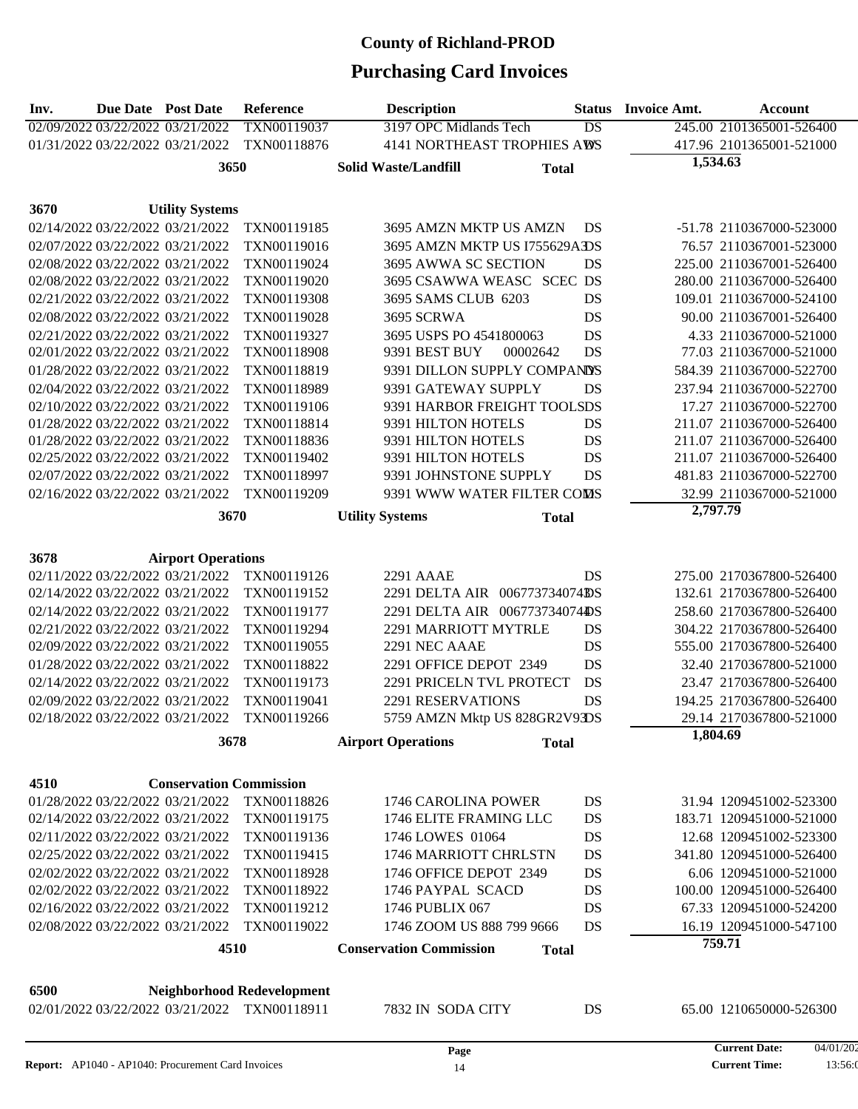| Inv. | <b>Due Date Post Date</b>        |                                  | <b>Reference</b>                  | <b>Description</b>                             | <b>Status</b> | <b>Invoice Amt.</b> | <b>Account</b>           |
|------|----------------------------------|----------------------------------|-----------------------------------|------------------------------------------------|---------------|---------------------|--------------------------|
|      | 02/09/2022 03/22/2022 03/21/2022 |                                  | TXN00119037                       | 3197 OPC Midlands Tech                         | DS            |                     | 245.00 2101365001-526400 |
|      |                                  | 01/31/2022 03/22/2022 03/21/2022 | TXN00118876                       | 4141 NORTHEAST TROPHIES AWS                    |               |                     | 417.96 2101365001-521000 |
|      |                                  | 3650                             |                                   | <b>Solid Waste/Landfill</b><br><b>Total</b>    |               | 1,534.63            |                          |
|      |                                  |                                  |                                   |                                                |               |                     |                          |
|      |                                  |                                  |                                   |                                                |               |                     |                          |
| 3670 |                                  | <b>Utility Systems</b>           |                                   |                                                |               |                     |                          |
|      |                                  | 02/14/2022 03/22/2022 03/21/2022 | TXN00119185                       | 3695 AMZN MKTP US AMZN                         | DS            |                     | -51.78 2110367000-523000 |
|      | 02/07/2022 03/22/2022 03/21/2022 |                                  | TXN00119016                       | 3695 AMZN MKTP US I755629ADS                   |               |                     | 76.57 2110367001-523000  |
|      |                                  | 02/08/2022 03/22/2022 03/21/2022 | TXN00119024                       | 3695 AWWA SC SECTION                           | DS            |                     | 225.00 2110367001-526400 |
|      |                                  | 02/08/2022 03/22/2022 03/21/2022 | TXN00119020                       | 3695 CSAWWA WEASC SCEC DS                      |               |                     | 280.00 2110367000-526400 |
|      |                                  | 02/21/2022 03/22/2022 03/21/2022 | TXN00119308                       | 3695 SAMS CLUB 6203                            | DS            |                     | 109.01 2110367000-524100 |
|      |                                  | 02/08/2022 03/22/2022 03/21/2022 | TXN00119028                       | 3695 SCRWA                                     | DS            |                     | 90.00 2110367001-526400  |
|      |                                  | 02/21/2022 03/22/2022 03/21/2022 | TXN00119327                       | 3695 USPS PO 4541800063                        | DS            |                     | 4.33 2110367000-521000   |
|      |                                  | 02/01/2022 03/22/2022 03/21/2022 | TXN00118908                       | 9391 BEST BUY<br>00002642                      | DS            |                     | 77.03 2110367000-521000  |
|      | 01/28/2022 03/22/2022 03/21/2022 |                                  | TXN00118819                       | 9391 DILLON SUPPLY COMPANDS                    |               |                     | 584.39 2110367000-522700 |
|      | 02/04/2022 03/22/2022 03/21/2022 |                                  | TXN00118989                       | 9391 GATEWAY SUPPLY                            | DS            |                     | 237.94 2110367000-522700 |
|      |                                  | 02/10/2022 03/22/2022 03/21/2022 | TXN00119106                       | 9391 HARBOR FREIGHT TOOLSDS                    |               |                     | 17.27 2110367000-522700  |
|      |                                  | 01/28/2022 03/22/2022 03/21/2022 | TXN00118814                       | 9391 HILTON HOTELS                             | DS            |                     | 211.07 2110367000-526400 |
|      |                                  | 01/28/2022 03/22/2022 03/21/2022 | TXN00118836                       | 9391 HILTON HOTELS                             | DS            |                     | 211.07 2110367000-526400 |
|      |                                  | 02/25/2022 03/22/2022 03/21/2022 | TXN00119402                       | 9391 HILTON HOTELS                             | DS            |                     | 211.07 2110367000-526400 |
|      |                                  | 02/07/2022 03/22/2022 03/21/2022 | TXN00118997                       | 9391 JOHNSTONE SUPPLY                          | DS            |                     | 481.83 2110367000-522700 |
|      |                                  | 02/16/2022 03/22/2022 03/21/2022 | TXN00119209                       | 9391 WWW WATER FILTER COMS                     |               |                     | 32.99 2110367000-521000  |
|      |                                  | 3670                             |                                   | <b>Utility Systems</b><br><b>Total</b>         |               | 2,797.79            |                          |
|      |                                  |                                  |                                   |                                                |               |                     |                          |
| 3678 |                                  | <b>Airport Operations</b>        |                                   |                                                |               |                     |                          |
|      |                                  | 02/11/2022 03/22/2022 03/21/2022 | TXN00119126                       | <b>2291 AAAE</b>                               | DS            |                     | 275.00 2170367800-526400 |
|      |                                  | 02/14/2022 03/22/2022 03/21/2022 | TXN00119152                       | 2291 DELTA AIR 006773734074DS                  |               |                     | 132.61 2170367800-526400 |
|      |                                  | 02/14/2022 03/22/2022 03/21/2022 | TXN00119177                       | 2291 DELTA AIR 006773734074DS                  |               |                     | 258.60 2170367800-526400 |
|      |                                  | 02/21/2022 03/22/2022 03/21/2022 | TXN00119294                       | 2291 MARRIOTT MYTRLE                           | DS            |                     | 304.22 2170367800-526400 |
|      |                                  | 02/09/2022 03/22/2022 03/21/2022 | TXN00119055                       | 2291 NEC AAAE                                  | DS            |                     | 555.00 2170367800-526400 |
|      | 01/28/2022 03/22/2022 03/21/2022 |                                  | TXN00118822                       | 2291 OFFICE DEPOT 2349                         | DS            |                     | 32.40 2170367800-521000  |
|      | 02/14/2022 03/22/2022 03/21/2022 |                                  | TXN00119173                       | 2291 PRICELN TVL PROTECT                       | DS            |                     | 23.47 2170367800-526400  |
|      |                                  | 02/09/2022 03/22/2022 03/21/2022 | TXN00119041                       | <b>2291 RESERVATIONS</b>                       | DS            |                     | 194.25 2170367800-526400 |
|      |                                  | 02/18/2022 03/22/2022 03/21/2022 | TXN00119266                       | 5759 AMZN Mktp US 828GR2V93DS                  |               |                     | 29.14 2170367800-521000  |
|      |                                  |                                  |                                   |                                                |               | 1,804.69            |                          |
|      |                                  | 3678                             |                                   | <b>Airport Operations</b><br><b>Total</b>      |               |                     |                          |
|      |                                  |                                  |                                   |                                                |               |                     |                          |
| 4510 |                                  | <b>Conservation Commission</b>   |                                   |                                                |               |                     |                          |
|      |                                  | 01/28/2022 03/22/2022 03/21/2022 | TXN00118826                       | 1746 CAROLINA POWER                            | DS            |                     | 31.94 1209451002-523300  |
|      |                                  | 02/14/2022 03/22/2022 03/21/2022 | TXN00119175                       | 1746 ELITE FRAMING LLC                         | DS            |                     | 183.71 1209451000-521000 |
|      |                                  | 02/11/2022 03/22/2022 03/21/2022 | TXN00119136                       | 1746 LOWES 01064                               | DS            |                     | 12.68 1209451002-523300  |
|      |                                  | 02/25/2022 03/22/2022 03/21/2022 | TXN00119415                       | 1746 MARRIOTT CHRLSTN                          | DS            |                     | 341.80 1209451000-526400 |
|      |                                  | 02/02/2022 03/22/2022 03/21/2022 | TXN00118928                       | 1746 OFFICE DEPOT 2349                         | DS            |                     | 6.06 1209451000-521000   |
|      |                                  | 02/02/2022 03/22/2022 03/21/2022 | TXN00118922                       | 1746 PAYPAL SCACD                              | DS            |                     | 100.00 1209451000-526400 |
|      | 02/16/2022 03/22/2022 03/21/2022 |                                  | TXN00119212                       | 1746 PUBLIX 067                                | DS            |                     | 67.33 1209451000-524200  |
|      |                                  | 02/08/2022 03/22/2022 03/21/2022 | TXN00119022                       | 1746 ZOOM US 888 799 9666                      | DS            |                     | 16.19 1209451000-547100  |
|      |                                  | 4510                             |                                   | <b>Conservation Commission</b><br><b>Total</b> |               |                     | 759.71                   |
|      |                                  |                                  |                                   |                                                |               |                     |                          |
|      |                                  |                                  |                                   |                                                |               |                     |                          |
| 6500 |                                  |                                  | <b>Neighborhood Redevelopment</b> |                                                |               |                     |                          |
|      |                                  | 02/01/2022 03/22/2022 03/21/2022 | TXN00118911                       | 7832 IN SODA CITY                              | DS            |                     | 65.00 1210650000-526300  |
|      |                                  |                                  |                                   |                                                |               |                     |                          |